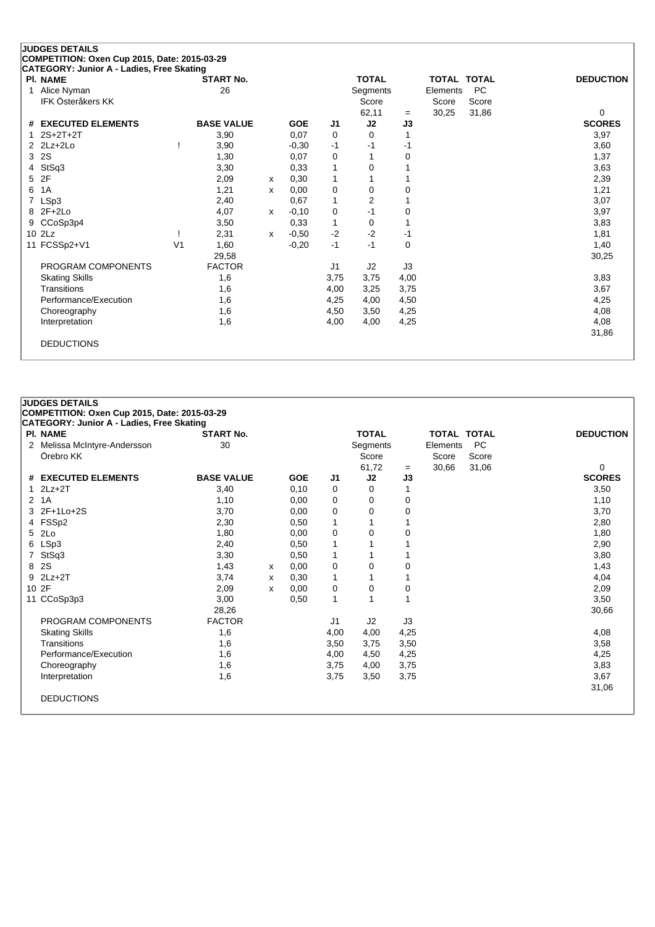|   | <b>JUDGES DETAILS</b>                                        |                |                   |              |            |                |                |      |          |                    |                  |
|---|--------------------------------------------------------------|----------------|-------------------|--------------|------------|----------------|----------------|------|----------|--------------------|------------------|
|   | COMPETITION: Oxen Cup 2015, Date: 2015-03-29                 |                |                   |              |            |                |                |      |          |                    |                  |
|   | CATEGORY: Junior A - Ladies, Free Skating<br><b>PI. NAME</b> |                | <b>START No.</b>  |              |            |                | <b>TOTAL</b>   |      |          | <b>TOTAL TOTAL</b> | <b>DEDUCTION</b> |
| 1 | Alice Nyman                                                  |                | 26                |              |            |                | Segments       |      | Elements | <b>PC</b>          |                  |
|   | <b>IFK Österåkers KK</b>                                     |                |                   |              |            |                | Score          |      | Score    | Score              |                  |
|   |                                                              |                |                   |              |            |                | 62,11          | $=$  | 30,25    | 31,86              | 0                |
|   | # EXECUTED ELEMENTS                                          |                | <b>BASE VALUE</b> |              | <b>GOE</b> | J1             | J2             | J3   |          |                    | <b>SCORES</b>    |
|   | $2S+2T+2T$                                                   |                | 3,90              |              | 0,07       | 0              | 0              |      |          |                    | 3,97             |
|   | $2$ $2Lz+2Lo$                                                |                | 3,90              |              | $-0,30$    | $-1$           | -1             | $-1$ |          |                    | 3,60             |
| 3 | 2S                                                           |                | 1,30              |              | 0,07       | 0              |                | 0    |          |                    | 1,37             |
| 4 | StSq3                                                        |                | 3,30              |              | 0.33       | 1              | 0              |      |          |                    | 3,63             |
| 5 | 2F                                                           |                | 2,09              | x            | 0,30       | 1              |                |      |          |                    | 2,39             |
| 6 | 1A                                                           |                | 1,21              | x            | 0,00       | 0              | 0              | 0    |          |                    | 1,21             |
|   | LSp3                                                         |                | 2,40              |              | 0.67       | 1              | $\overline{2}$ |      |          |                    | 3,07             |
| 8 | $2F+2Lo$                                                     |                | 4,07              | $\mathsf{x}$ | $-0,10$    | 0              | $-1$           | 0    |          |                    | 3,97             |
| 9 | CCoSp3p4                                                     |                | 3,50              |              | 0,33       | 1              | $\Omega$       |      |          |                    | 3,83             |
|   | 10 2Lz                                                       |                | 2,31              | $\mathsf{x}$ | $-0,50$    | $-2$           | $-2$           | -1   |          |                    | 1,81             |
|   | 11 FCSSp2+V1                                                 | V <sub>1</sub> | 1,60              |              | $-0,20$    | $-1$           | $-1$           | 0    |          |                    | 1,40             |
|   |                                                              |                | 29,58             |              |            |                |                |      |          |                    | 30,25            |
|   | PROGRAM COMPONENTS                                           |                | <b>FACTOR</b>     |              |            | J <sub>1</sub> | J2             | J3   |          |                    |                  |
|   | <b>Skating Skills</b>                                        |                | 1,6               |              |            | 3,75           | 3,75           | 4,00 |          |                    | 3,83             |
|   | Transitions                                                  |                | 1,6               |              |            | 4,00           | 3,25           | 3,75 |          |                    | 3,67             |
|   | Performance/Execution                                        |                | 1,6               |              |            | 4,25           | 4,00           | 4,50 |          |                    | 4,25             |
|   | Choreography                                                 |                | 1,6               |              |            | 4,50           | 3,50           | 4,25 |          |                    | 4,08             |
|   | Interpretation                                               |                | 1,6               |              |            | 4,00           | 4,00           | 4,25 |          |                    | 4,08             |
|   |                                                              |                |                   |              |            |                |                |      |          |                    | 31,86            |
|   | <b>DEDUCTIONS</b>                                            |                |                   |              |            |                |                |      |          |                    |                  |
|   |                                                              |                |                   |              |            |                |                |      |          |                    |                  |

## **COMPETITION: Oxen Cup 2015, Date: 2015-03-29 CATEGORY: Junior A - Ladies, Free Skating Pl. NAME START No. TOTAL TOTAL TOTAL DEDUCTION** 2 Melissa McIntyre-Andersson 30 30 Segments Elements PC<br>Örebro KK Score Score Score Score Score Score 61,72 <sup>=</sup> 30,66 31,06 0 **# EXECUTED ELEMENTS BASE VALUE GOE J1 J2 J3 SCORES** 1 2Lz+2T 3,40 0,10 0 0 1 3,50

**JUDGES DETAILS**

| 2 1A                  | 1,10          |   | 0,00 | 0    | 0    | 0    | 1,10  |  |
|-----------------------|---------------|---|------|------|------|------|-------|--|
| 3 2F+1Lo+2S           | 3,70          |   | 0,00 | 0    | 0    | 0    | 3,70  |  |
| 4 FSSp2               | 2,30          |   | 0,50 |      |      |      | 2,80  |  |
| 5 2Lo                 | 1,80          |   | 0,00 | 0    | 0    | 0    | 1,80  |  |
| 6 LSp3                | 2,40          |   | 0,50 |      |      |      | 2,90  |  |
| 7 StSq3               | 3,30          |   | 0,50 |      |      |      | 3,80  |  |
| 8 2S                  | 1,43          | х | 0,00 | 0    | 0    | 0    | 1,43  |  |
| $9$ $2Lz+2T$          | 3,74          | x | 0,30 | 1    |      |      | 4,04  |  |
| 10 2F                 | 2,09          | x | 0,00 | 0    | 0    | 0    | 2,09  |  |
| 11 CCoSp3p3           | 3,00          |   | 0,50 | 1    |      |      | 3,50  |  |
|                       | 28,26         |   |      |      |      |      | 30,66 |  |
| PROGRAM COMPONENTS    | <b>FACTOR</b> |   |      | J1   | J2   | J3   |       |  |
| <b>Skating Skills</b> | 1,6           |   |      | 4,00 | 4,00 | 4,25 | 4,08  |  |
| Transitions           | 1,6           |   |      | 3,50 | 3,75 | 3,50 | 3,58  |  |
| Performance/Execution | 1,6           |   |      | 4,00 | 4,50 | 4,25 | 4,25  |  |
| Choreography          | 1,6           |   |      | 3,75 | 4,00 | 3,75 | 3,83  |  |
| Interpretation        | 1,6           |   |      | 3,75 | 3,50 | 3,75 | 3,67  |  |
|                       |               |   |      |      |      |      | 31,06 |  |
| <b>DEDUCTIONS</b>     |               |   |      |      |      |      |       |  |
|                       |               |   |      |      |      |      |       |  |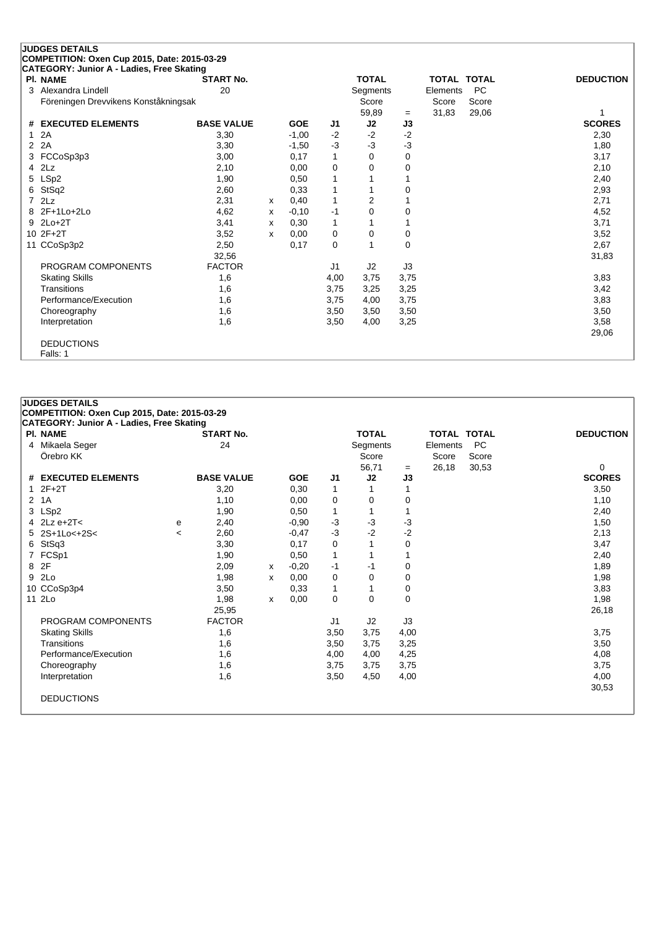|   | <b>JUDGES DETAILS</b>                        |                   |   |            |                |              |          |                    |           |                  |
|---|----------------------------------------------|-------------------|---|------------|----------------|--------------|----------|--------------------|-----------|------------------|
|   | COMPETITION: Oxen Cup 2015, Date: 2015-03-29 |                   |   |            |                |              |          |                    |           |                  |
|   | CATEGORY: Junior A - Ladies, Free Skating    |                   |   |            |                |              |          |                    |           |                  |
|   | <b>PI. NAME</b>                              | <b>START No.</b>  |   |            |                | <b>TOTAL</b> |          | <b>TOTAL TOTAL</b> |           | <b>DEDUCTION</b> |
| 3 | Alexandra Lindell                            | 20                |   |            |                | Segments     |          | Elements           | <b>PC</b> |                  |
|   | Föreningen Drevvikens Konståkningsak         |                   |   |            |                | Score        |          | Score              | Score     |                  |
|   |                                              |                   |   |            |                | 59,89        | $=$      | 31,83              | 29,06     |                  |
| # | <b>EXECUTED ELEMENTS</b>                     | <b>BASE VALUE</b> |   | <b>GOE</b> | J <sub>1</sub> | J2           | J3       |                    |           | <b>SCORES</b>    |
| 1 | 2A                                           | 3,30              |   | $-1,00$    | $-2$           | $-2$         | $-2$     |                    |           | 2,30             |
| 2 | 2A                                           | 3,30              |   | $-1,50$    | $-3$           | $-3$         | $-3$     |                    |           | 1,80             |
| 3 | FCCoSp3p3                                    | 3,00              |   | 0,17       | $\mathbf{1}$   | 0            | 0        |                    |           | 3,17             |
| 4 | 2Lz                                          | 2,10              |   | 0,00       | 0              | 0            | $\Omega$ |                    |           | 2,10             |
| 5 | LSp2                                         | 1,90              |   | 0,50       | 1              |              |          |                    |           | 2,40             |
| 6 | StSq2                                        | 2,60              |   | 0,33       | 1              |              | $\Omega$ |                    |           | 2,93             |
|   | 2Lz                                          | 2,31              | x | 0,40       | 1              | 2            |          |                    |           | 2,71             |
| 8 | 2F+1Lo+2Lo                                   | 4,62              | x | $-0,10$    | -1             | 0            | 0        |                    |           | 4,52             |
| 9 | $2Lo+2T$                                     | 3,41              | х | 0,30       | $\mathbf{1}$   |              |          |                    |           | 3,71             |
|   | 10 2F+2T                                     | 3,52              | x | 0,00       | 0              | 0            | 0        |                    |           | 3,52             |
|   | 11 CCoSp3p2                                  | 2,50              |   | 0,17       | 0              |              | $\Omega$ |                    |           | 2,67             |
|   |                                              | 32,56             |   |            |                |              |          |                    |           | 31,83            |
|   | PROGRAM COMPONENTS                           | <b>FACTOR</b>     |   |            | J <sub>1</sub> | J2           | J3       |                    |           |                  |
|   | <b>Skating Skills</b>                        | 1,6               |   |            | 4,00           | 3,75         | 3,75     |                    |           | 3,83             |
|   | Transitions                                  | 1,6               |   |            | 3,75           | 3,25         | 3,25     |                    |           | 3,42             |
|   | Performance/Execution                        | 1,6               |   |            | 3,75           | 4,00         | 3,75     |                    |           | 3,83             |
|   | Choreography                                 | 1,6               |   |            | 3,50           | 3,50         | 3,50     |                    |           | 3,50             |
|   | Interpretation                               | 1,6               |   |            | 3,50           | 4,00         | 3,25     |                    |           | 3,58             |
|   |                                              |                   |   |            |                |              |          |                    |           | 29,06            |
|   | <b>DEDUCTIONS</b>                            |                   |   |            |                |              |          |                    |           |                  |
|   | Falls: 1                                     |                   |   |            |                |              |          |                    |           |                  |

| <b>JUDGES DETAILS</b>                            |                          |                   |   |            |                |              |             |                    |           |                  |
|--------------------------------------------------|--------------------------|-------------------|---|------------|----------------|--------------|-------------|--------------------|-----------|------------------|
| COMPETITION: Oxen Cup 2015, Date: 2015-03-29     |                          |                   |   |            |                |              |             |                    |           |                  |
| <b>CATEGORY: Junior A - Ladies, Free Skating</b> |                          |                   |   |            |                |              |             |                    |           |                  |
| <b>PI. NAME</b>                                  |                          | <b>START No.</b>  |   |            |                | <b>TOTAL</b> |             | <b>TOTAL TOTAL</b> |           | <b>DEDUCTION</b> |
| 4 Mikaela Seger                                  |                          | 24                |   |            |                | Segments     |             | Elements           | <b>PC</b> |                  |
| Örebro KK                                        |                          |                   |   |            |                | Score        |             | Score              | Score     |                  |
|                                                  |                          |                   |   |            |                | 56,71        | $=$         | 26,18              | 30,53     | 0                |
| # EXECUTED ELEMENTS                              |                          | <b>BASE VALUE</b> |   | <b>GOE</b> | J <sub>1</sub> | J2           | J3          |                    |           | <b>SCORES</b>    |
| $12F+2T$                                         |                          | 3,20              |   | 0,30       | 1              |              |             |                    |           | 3,50             |
| 2 1A                                             |                          | 1,10              |   | 0,00       | 0              | 0            | 0           |                    |           | 1,10             |
| 3 LSp2                                           |                          | 1,90              |   | 0,50       | $\mathbf{1}$   | 1            |             |                    |           | 2,40             |
| 4 $2Lz$ e+2T<                                    | е                        | 2,40              |   | $-0.90$    | $-3$           | $-3$         | $-3$        |                    |           | 1,50             |
| 5 2S+1Lo<+2S<                                    | $\overline{\phantom{a}}$ | 2,60              |   | $-0.47$    | $-3$           | $-2$         | $-2$        |                    |           | 2,13             |
| 6 StSq3                                          |                          | 3,30              |   | 0,17       | 0              | 1            | 0           |                    |           | 3,47             |
| 7 FCSp1                                          |                          | 1,90              |   | 0,50       | 1              | 1            |             |                    |           | 2,40             |
| 8 2F                                             |                          | 2,09              | X | $-0,20$    | -1             | -1           | 0           |                    |           | 1,89             |
| 9 2Lo                                            |                          | 1,98              | x | 0,00       | 0              | 0            | 0           |                    |           | 1,98             |
| 10 CCoSp3p4                                      |                          | 3,50              |   | 0,33       | 1              | 1            | 0           |                    |           | 3,83             |
| 11 2Lo                                           |                          | 1,98              | X | 0,00       | 0              | $\mathbf 0$  | $\mathbf 0$ |                    |           | 1,98             |
|                                                  |                          | 25,95             |   |            |                |              |             |                    |           | 26,18            |
| PROGRAM COMPONENTS                               |                          | <b>FACTOR</b>     |   |            | J1             | J2           | J3          |                    |           |                  |
| <b>Skating Skills</b>                            |                          | 1,6               |   |            | 3,50           | 3,75         | 4,00        |                    |           | 3,75             |
| Transitions                                      |                          | 1,6               |   |            | 3,50           | 3,75         | 3,25        |                    |           | 3,50             |
| Performance/Execution                            |                          | 1,6               |   |            | 4,00           | 4,00         | 4,25        |                    |           | 4,08             |
| Choreography                                     |                          | 1,6               |   |            | 3,75           | 3,75         | 3,75        |                    |           | 3,75             |
| Interpretation                                   |                          | 1,6               |   |            | 3,50           | 4,50         | 4,00        |                    |           | 4,00             |
|                                                  |                          |                   |   |            |                |              |             |                    |           | 30,53            |
| <b>DEDUCTIONS</b>                                |                          |                   |   |            |                |              |             |                    |           |                  |
|                                                  |                          |                   |   |            |                |              |             |                    |           |                  |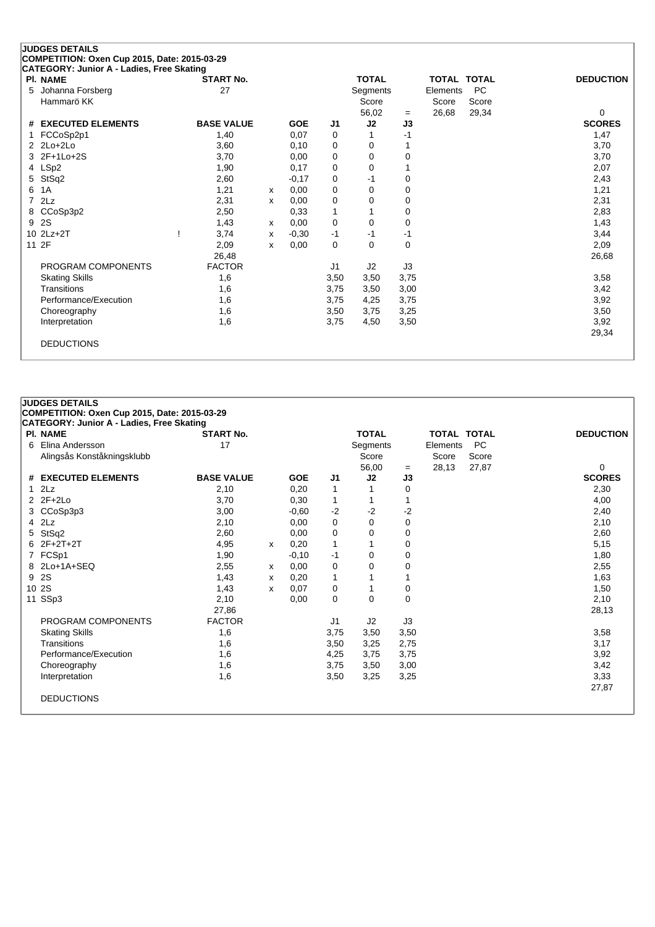|   | <b>JUDGES DETAILS</b>                                        |                   |   |            |             |              |      |          |                    |                  |
|---|--------------------------------------------------------------|-------------------|---|------------|-------------|--------------|------|----------|--------------------|------------------|
|   | COMPETITION: Oxen Cup 2015, Date: 2015-03-29                 |                   |   |            |             |              |      |          |                    |                  |
|   | CATEGORY: Junior A - Ladies, Free Skating<br><b>PI. NAME</b> | <b>START No.</b>  |   |            |             | <b>TOTAL</b> |      |          | <b>TOTAL TOTAL</b> | <b>DEDUCTION</b> |
| 5 | Johanna Forsberg                                             | 27                |   |            |             | Segments     |      | Elements | <b>PC</b>          |                  |
|   | Hammarö KK                                                   |                   |   |            |             | Score        |      | Score    | Score              |                  |
|   |                                                              |                   |   |            |             | 56,02        | $=$  | 26,68    | 29,34              | 0                |
|   | # EXECUTED ELEMENTS                                          | <b>BASE VALUE</b> |   | <b>GOE</b> | J1          | J2           | J3   |          |                    | <b>SCORES</b>    |
|   | FCCoSp2p1                                                    | 1,40              |   | 0,07       | 0           |              | $-1$ |          |                    | 1,47             |
|   | $2$ $2$ $Lo+2$ $Lo+2$                                        | 3,60              |   | 0,10       | 0           | 0            |      |          |                    | 3,70             |
| 3 | 2F+1Lo+2S                                                    | 3,70              |   | 0,00       | 0           | 0            | 0    |          |                    | 3,70             |
| 4 | LSp2                                                         | 1,90              |   | 0,17       | 0           | 0            |      |          |                    | 2,07             |
| 5 | StSq2                                                        | 2,60              |   | $-0,17$    | 0           | $-1$         | 0    |          |                    | 2,43             |
| 6 | 1A                                                           | 1,21              | x | 0,00       | 0           | 0            | 0    |          |                    | 1,21             |
| 7 | 2Lz                                                          | 2,31              | x | 0.00       | 0           | 0            | 0    |          |                    | 2,31             |
| 8 | CCoSp3p2                                                     | 2,50              |   | 0,33       | 1           |              | 0    |          |                    | 2,83             |
| 9 | 2S                                                           | 1,43              | x | 0,00       | $\mathbf 0$ | 0            | 0    |          |                    | 1,43             |
|   | 10 2Lz+2T                                                    | 3,74              | x | $-0,30$    | $-1$        | $-1$         | $-1$ |          |                    | 3,44             |
|   | 11 2F                                                        | 2,09              | x | 0,00       | 0           | $\Omega$     | 0    |          |                    | 2,09             |
|   |                                                              | 26,48             |   |            |             |              |      |          |                    | 26,68            |
|   | PROGRAM COMPONENTS                                           | <b>FACTOR</b>     |   |            | J1          | J2           | J3   |          |                    |                  |
|   | <b>Skating Skills</b>                                        | 1,6               |   |            | 3,50        | 3,50         | 3,75 |          |                    | 3,58             |
|   | Transitions                                                  | 1,6               |   |            | 3,75        | 3,50         | 3,00 |          |                    | 3,42             |
|   | Performance/Execution                                        | 1,6               |   |            | 3,75        | 4,25         | 3,75 |          |                    | 3,92             |
|   | Choreography                                                 | 1,6               |   |            | 3,50        | 3,75         | 3,25 |          |                    | 3,50             |
|   | Interpretation                                               | 1,6               |   |            | 3,75        | 4,50         | 3,50 |          |                    | 3,92             |
|   |                                                              |                   |   |            |             |              |      |          |                    | 29,34            |
|   | <b>DEDUCTIONS</b>                                            |                   |   |            |             |              |      |          |                    |                  |
|   |                                                              |                   |   |            |             |              |      |          |                    |                  |

| <b>JUDGES DETAILS</b>                            |                   |   |            |                |              |      |                    |           |                  |
|--------------------------------------------------|-------------------|---|------------|----------------|--------------|------|--------------------|-----------|------------------|
| COMPETITION: Oxen Cup 2015, Date: 2015-03-29     |                   |   |            |                |              |      |                    |           |                  |
| <b>CATEGORY: Junior A - Ladies, Free Skating</b> |                   |   |            |                |              |      |                    |           |                  |
| <b>PI. NAME</b>                                  | <b>START No.</b>  |   |            |                | <b>TOTAL</b> |      | <b>TOTAL TOTAL</b> |           | <b>DEDUCTION</b> |
| 6 Elina Andersson                                | 17                |   |            |                | Segments     |      | Elements           | <b>PC</b> |                  |
| Alingsås Konståkningsklubb                       |                   |   |            |                | Score        |      | Score              | Score     |                  |
|                                                  |                   |   |            |                | 56,00        | $=$  | 28,13              | 27,87     | $\Omega$         |
| # EXECUTED ELEMENTS                              | <b>BASE VALUE</b> |   | <b>GOE</b> | J <sub>1</sub> | J2           | J3   |                    |           | <b>SCORES</b>    |
| 2Lz                                              | 2,10              |   | 0,20       | 1              |              | 0    |                    |           | 2,30             |
| 2 2F+2Lo                                         | 3,70              |   | 0,30       | 1              | 1            |      |                    |           | 4,00             |
| 3 CCoSp3p3                                       | 3,00              |   | $-0.60$    | $-2$           | $-2$         | -2   |                    |           | 2,40             |
| $4$ $2Lz$                                        | 2,10              |   | 0,00       | $\mathbf 0$    | $\Omega$     | 0    |                    |           | 2,10             |
| 5 StSq2                                          | 2,60              |   | 0,00       | 0              | 0            | 0    |                    |           | 2,60             |
| 6 2F+2T+2T                                       | 4,95              | x | 0,20       | $\mathbf{1}$   |              | 0    |                    |           | 5,15             |
| 7 FCSp1                                          | 1,90              |   | $-0,10$    | -1             | 0            | 0    |                    |           | 1,80             |
| 8 2Lo+1A+SEQ                                     | 2,55              | x | 0,00       | 0              | 0            | 0    |                    |           | 2,55             |
| 9 2S                                             | 1,43              | x | 0,20       | $\mathbf{1}$   | 1            |      |                    |           | 1,63             |
| 10 2S                                            | 1,43              | x | 0,07       | 0              | 1            | 0    |                    |           | 1,50             |
| 11 SSp3                                          | 2,10              |   | 0,00       | 0              | 0            | 0    |                    |           | 2,10             |
|                                                  | 27,86             |   |            |                |              |      |                    |           | 28,13            |
| PROGRAM COMPONENTS                               | <b>FACTOR</b>     |   |            | J <sub>1</sub> | J2           | J3   |                    |           |                  |
| <b>Skating Skills</b>                            | 1,6               |   |            | 3,75           | 3,50         | 3,50 |                    |           | 3,58             |
| Transitions                                      | 1,6               |   |            | 3,50           | 3,25         | 2,75 |                    |           | 3,17             |
| Performance/Execution                            | 1,6               |   |            | 4,25           | 3,75         | 3,75 |                    |           | 3,92             |
| Choreography                                     | 1,6               |   |            | 3,75           | 3,50         | 3,00 |                    |           | 3,42             |
| Interpretation                                   | 1,6               |   |            | 3,50           | 3,25         | 3,25 |                    |           | 3,33             |
|                                                  |                   |   |            |                |              |      |                    |           | 27,87            |
| <b>DEDUCTIONS</b>                                |                   |   |            |                |              |      |                    |           |                  |
|                                                  |                   |   |            |                |              |      |                    |           |                  |
|                                                  |                   |   |            |                |              |      |                    |           |                  |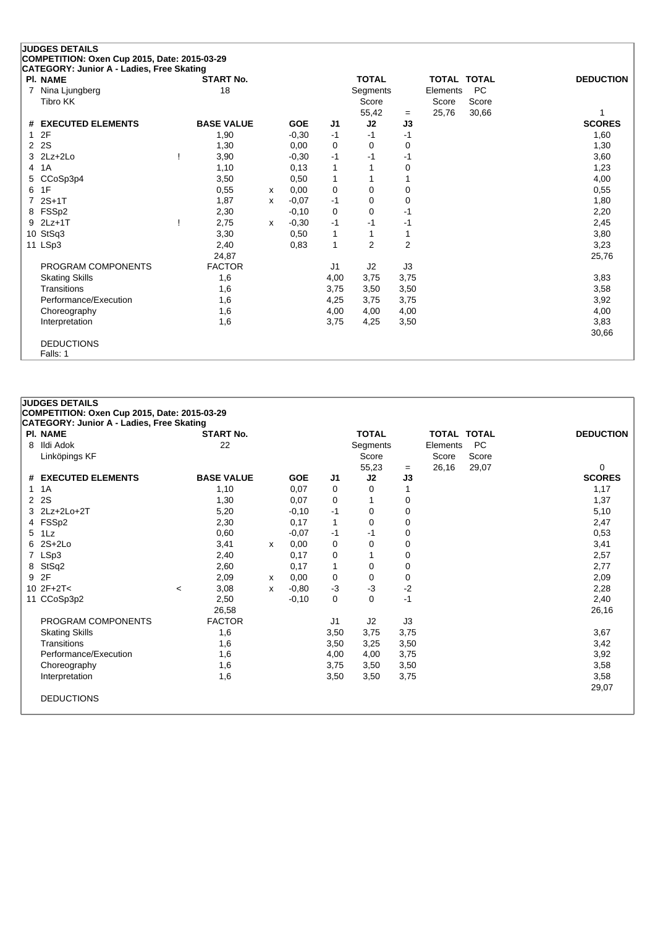#### **JUDGES DETAILS COMPETITION: Oxen Cup 2015, Date: 2015-03-29 CATEGORY: Junior A - Ladies, Free Skating Pl. NAME START No. TOTAL TOTAL TOTAL DEDUCTION** 7 Nina Ljungberg 18 18 Segments Elements PC<br>Tibro KK Score Score Score Score Score Score  $55,42 = 25,76$  30,66 1 **# EXECUTED ELEMENTS BASE VALUE GOE J1 J2 J3 SCORES** 1 2F 1,90 -0,30 -1 -1 -1 1,60 2 2S 1,30 0,00 0 0 0 1,30 3 2Lz+2Lo ! 3,90 -0,30 -1 -1 -1 3,60 4 1A 1,10 0,13 1 1 0 1,23 5 CCoSp3p4 3,50 0,50 1 1 1 4,00 6 1F 0,55 <sup>x</sup> 0,00 0 0 0 0,55 7 2S+1T 1,87 <sup>x</sup> -0,07 -1 0 0 1,80 8 FSSp2 2,30 -0,10 0 0 -1 2,20 9 2Lz+1T ! 2,75 <sup>x</sup> -0,30 -1 -1 -1 2,45 10 StSq3 3,30 0,50 1 1 3,80 11 LSp3 2,40 0,83 1 2 2 3,23 24,87 25,76 PROGRAM COMPONENTS FACTOR U1 J2 J3 Skating Skills 1,6 4,00 3,75 3,75 3,83 Transitions 1,6 3,75 3,50 3,50 3,58 Performance/Execution 1,6 1,6 4,25 3,75 3,75 3,92 Choreography 1,6 3,92 Choreography 1,6 4,00 4,00 4,00 4,00 Interpretation 1,6 3,75 4,25 3,50 3,83 30,66

DEDUCTIONS Falls: 1

| <b>PI. NAME</b>       | <b>START No.</b>  |   |            |                | <b>TOTAL</b> |      | <b>TOTAL TOTAL</b> |           | <b>DEDUCTION</b> |
|-----------------------|-------------------|---|------------|----------------|--------------|------|--------------------|-----------|------------------|
| Ildi Adok<br>8        | 22                |   |            |                | Segments     |      | Elements           | <b>PC</b> |                  |
| Linköpings KF         |                   |   |            |                | Score        |      | Score              | Score     |                  |
|                       |                   |   |            |                | 55,23        | $=$  | 26,16              | 29,07     | 0                |
| # EXECUTED ELEMENTS   | <b>BASE VALUE</b> |   | <b>GOE</b> | J <sub>1</sub> | J2           | J3   |                    |           | <b>SCORES</b>    |
| 1 1 A                 | 1,10              |   | 0.07       | 0              | $\Omega$     | 1    |                    |           | 1,17             |
| 2 2 S                 | 1,30              |   | 0.07       | 0              | 1            | 0    |                    |           | 1,37             |
| 3 2Lz+2Lo+2T          | 5,20              |   | $-0,10$    | -1             | 0            | 0    |                    |           | 5,10             |
| 4 FSSp2               | 2,30              |   | 0,17       | 1              | 0            | 0    |                    |           | 2,47             |
| 5 1Lz                 | 0.60              |   | $-0.07$    | -1             | $-1$         | 0    |                    |           | 0,53             |
| $62S+2Lo$             | 3,41              | x | 0,00       | 0              | 0            | 0    |                    |           | 3,41             |
| 7 LSp3                | 2,40              |   | 0.17       | 0              | 1            | 0    |                    |           | 2,57             |
| 8 StSq2               | 2,60              |   | 0,17       | 1              | 0            | 0    |                    |           | 2,77             |
| 9 2F                  | 2,09              | x | 0.00       | 0              | $\mathbf 0$  | 0    |                    |           | 2,09             |
| 10 $2F+2T<$           | 3,08<br>$\prec$   | X | $-0.80$    | $-3$           | $-3$         | $-2$ |                    |           | 2,28             |
| 11 CCoSp3p2           | 2,50              |   | $-0.10$    | 0              | $\Omega$     | $-1$ |                    |           | 2,40             |
|                       | 26,58             |   |            |                |              |      |                    |           | 26,16            |
| PROGRAM COMPONENTS    | <b>FACTOR</b>     |   |            | J1             | J2           | J3   |                    |           |                  |
| <b>Skating Skills</b> | 1,6               |   |            | 3,50           | 3,75         | 3,75 |                    |           | 3,67             |
| Transitions           | 1,6               |   |            | 3,50           | 3,25         | 3,50 |                    |           | 3,42             |
| Performance/Execution | 1,6               |   |            | 4,00           | 4,00         | 3,75 |                    |           | 3,92             |
| Choreography          | 1,6               |   |            | 3,75           | 3,50         | 3,50 |                    |           | 3,58             |
| Interpretation        | 1,6               |   |            | 3,50           | 3,50         | 3,75 |                    |           | 3,58             |
|                       |                   |   |            |                |              |      |                    |           | 29,07            |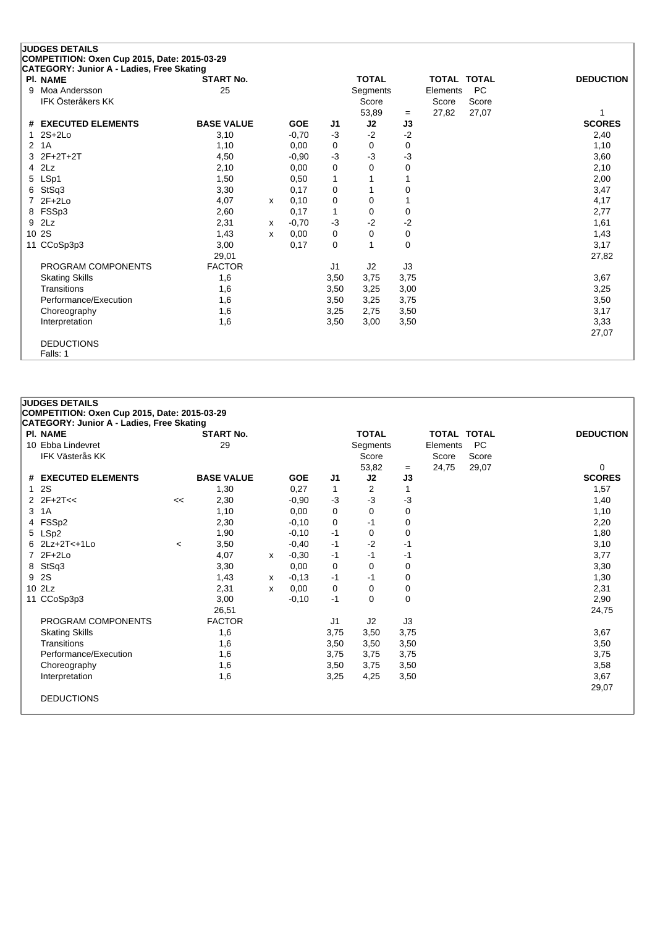|                | <b>JUDGES DETAILS</b><br>COMPETITION: Oxen Cup 2015, Date: 2015-03-29 |                   |   |            |                |                 |          |                    |           |                  |
|----------------|-----------------------------------------------------------------------|-------------------|---|------------|----------------|-----------------|----------|--------------------|-----------|------------------|
|                | CATEGORY: Junior A - Ladies, Free Skating                             |                   |   |            |                |                 |          |                    |           |                  |
|                | <b>PI. NAME</b>                                                       | <b>START No.</b>  |   |            |                | <b>TOTAL</b>    |          | <b>TOTAL TOTAL</b> |           | <b>DEDUCTION</b> |
| 9              | Moa Andersson                                                         | 25                |   |            |                | <b>Segments</b> |          | Elements           | <b>PC</b> |                  |
|                | <b>IFK Österåkers KK</b>                                              |                   |   |            |                | Score           |          | Score              | Score     |                  |
|                |                                                                       |                   |   |            |                | 53,89           | $=$      | 27,82              | 27,07     |                  |
|                | # EXECUTED ELEMENTS                                                   | <b>BASE VALUE</b> |   | <b>GOE</b> | J1             | J2              | J3       |                    |           | <b>SCORES</b>    |
|                | $2S+2Lo$                                                              | 3,10              |   | $-0,70$    | -3             | $-2$            | $-2$     |                    |           | 2,40             |
| $\overline{2}$ | 1A                                                                    | 1,10              |   | 0.00       | 0              | 0               | 0        |                    |           | 1,10             |
| 3              | $2F+2T+2T$                                                            | 4,50              |   | $-0,90$    | $-3$           | $-3$            | -3       |                    |           | 3,60             |
| 4              | 2Lz                                                                   | 2,10              |   | 0,00       | 0              | 0               | 0        |                    |           | 2,10             |
| 5              | LSp1                                                                  | 1,50              |   | 0,50       | 1              |                 |          |                    |           | 2,00             |
|                | StSq3                                                                 | 3,30              |   | 0,17       | 0              |                 | 0        |                    |           | 3,47             |
|                | $2F+2Lo$                                                              | 4,07              | x | 0,10       | 0              | 0               |          |                    |           | 4,17             |
| 8              | FSSp3                                                                 | 2,60              |   | 0,17       | 1              | 0               | 0        |                    |           | 2,77             |
| 9              | 2Lz                                                                   | 2,31              | x | $-0,70$    | -3             | $-2$            | $-2$     |                    |           | 1,61             |
|                | 10 2S                                                                 | 1,43              | x | 0.00       | 0              | 0               | 0        |                    |           | 1,43             |
|                | 11 CCoSp3p3                                                           | 3,00              |   | 0,17       | 0              |                 | $\Omega$ |                    |           | 3,17             |
|                |                                                                       | 29,01             |   |            |                |                 |          |                    |           | 27,82            |
|                | PROGRAM COMPONENTS                                                    | <b>FACTOR</b>     |   |            | J <sub>1</sub> | J2              | J3       |                    |           |                  |
|                | <b>Skating Skills</b>                                                 | 1,6               |   |            | 3,50           | 3,75            | 3,75     |                    |           | 3,67             |
|                | Transitions                                                           | 1,6               |   |            | 3,50           | 3,25            | 3,00     |                    |           | 3,25             |
|                | Performance/Execution                                                 | 1,6               |   |            | 3,50           | 3,25            | 3,75     |                    |           | 3,50             |
|                | Choreography                                                          | 1,6               |   |            | 3,25           | 2,75            | 3,50     |                    |           | 3,17             |
|                | Interpretation                                                        | 1,6               |   |            | 3,50           | 3,00            | 3,50     |                    |           | 3,33             |
|                |                                                                       |                   |   |            |                |                 |          |                    |           | 27,07            |
|                | <b>DEDUCTIONS</b><br>Falls: 1                                         |                   |   |            |                |                 |          |                    |           |                  |

| <b>JUDGES DETAILS</b>                            |         |                   |   |            |                |              |      |                    |           |                  |
|--------------------------------------------------|---------|-------------------|---|------------|----------------|--------------|------|--------------------|-----------|------------------|
| COMPETITION: Oxen Cup 2015, Date: 2015-03-29     |         |                   |   |            |                |              |      |                    |           |                  |
| <b>CATEGORY: Junior A - Ladies, Free Skating</b> |         |                   |   |            |                |              |      |                    |           |                  |
| <b>PI. NAME</b>                                  |         | <b>START No.</b>  |   |            |                | <b>TOTAL</b> |      | <b>TOTAL TOTAL</b> |           | <b>DEDUCTION</b> |
| 10 Ebba Lindevret                                |         | 29                |   |            |                | Segments     |      | Elements           | <b>PC</b> |                  |
| <b>IFK Västerås KK</b>                           |         |                   |   |            |                | Score        |      | Score              | Score     |                  |
|                                                  |         |                   |   |            |                | 53,82        | $=$  | 24,75              | 29,07     | 0                |
| # EXECUTED ELEMENTS                              |         | <b>BASE VALUE</b> |   | <b>GOE</b> | J <sub>1</sub> | J2           | J3   |                    |           | <b>SCORES</b>    |
| 12S                                              |         | 1,30              |   | 0,27       | 1              | 2            | 1    |                    |           | 1,57             |
| $2 \, 2F + 2T <$                                 | <<      | 2,30              |   | $-0.90$    | $-3$           | $-3$         | -3   |                    |           | 1,40             |
| 3 1A                                             |         | 1,10              |   | 0,00       | 0              | 0            | 0    |                    |           | 1,10             |
| 4 FSSp2                                          |         | 2,30              |   | $-0,10$    | 0              | -1           | 0    |                    |           | 2,20             |
| 5 LSp2                                           |         | 1,90              |   | $-0,10$    | $-1$           | 0            | 0    |                    |           | 1,80             |
| $62Lz+2T<+1L0$                                   | $\,<\,$ | 3,50              |   | $-0,40$    | $-1$           | $-2$         | -1   |                    |           | 3,10             |
| 7 2F+2Lo                                         |         | 4,07              | x | $-0,30$    | -1             | -1           | -1   |                    |           | 3,77             |
| 8 StSq3                                          |         | 3,30              |   | 0,00       | 0              | 0            | 0    |                    |           | 3,30             |
| 9 2S                                             |         | 1,43              | х | $-0,13$    | $-1$           | -1           | 0    |                    |           | 1,30             |
| $10$ $2\text{Lz}$                                |         | 2,31              | X | 0,00       | 0              | 0            | 0    |                    |           | 2,31             |
| 11 CCoSp3p3                                      |         | 3,00              |   | $-0,10$    | $-1$           | 0            | 0    |                    |           | 2,90             |
|                                                  |         | 26,51             |   |            |                |              |      |                    |           | 24,75            |
| PROGRAM COMPONENTS                               |         | <b>FACTOR</b>     |   |            | J <sub>1</sub> | J2           | J3   |                    |           |                  |
| <b>Skating Skills</b>                            |         | 1,6               |   |            | 3,75           | 3,50         | 3,75 |                    |           | 3,67             |
| Transitions                                      |         | 1,6               |   |            | 3,50           | 3,50         | 3,50 |                    |           | 3,50             |
| Performance/Execution                            |         | 1,6               |   |            | 3,75           | 3,75         | 3,75 |                    |           | 3,75             |
| Choreography                                     |         | 1,6               |   |            | 3,50           | 3,75         | 3,50 |                    |           | 3,58             |
| Interpretation                                   |         | 1,6               |   |            | 3,25           | 4,25         | 3,50 |                    |           | 3,67             |
|                                                  |         |                   |   |            |                |              |      |                    |           | 29,07            |
| <b>DEDUCTIONS</b>                                |         |                   |   |            |                |              |      |                    |           |                  |
|                                                  |         |                   |   |            |                |              |      |                    |           |                  |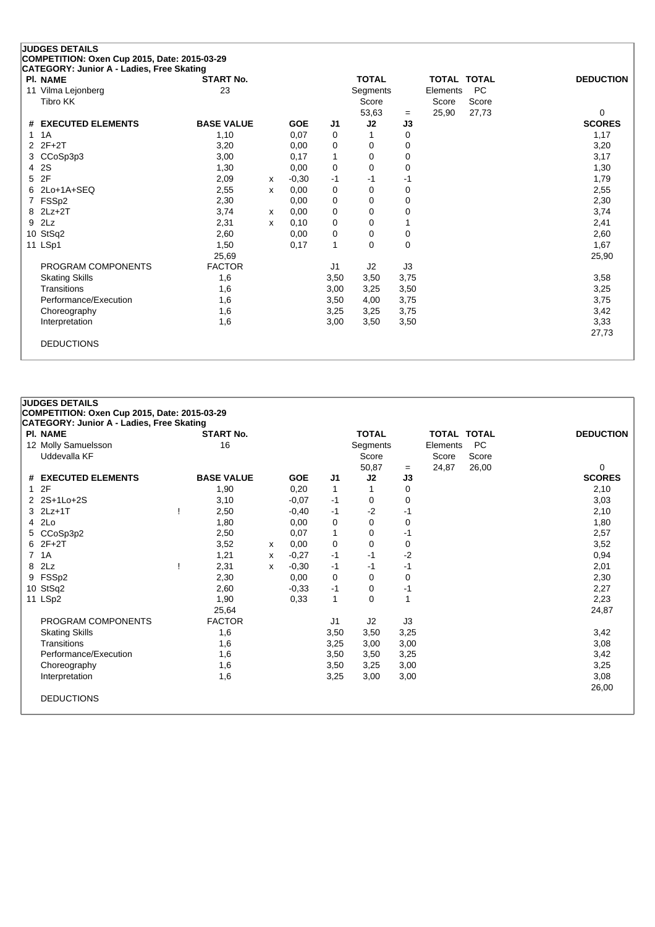|   | <b>JUDGES DETAILS</b>                                        |                   |   |            |                |              |           |                    |           |                  |
|---|--------------------------------------------------------------|-------------------|---|------------|----------------|--------------|-----------|--------------------|-----------|------------------|
|   | COMPETITION: Oxen Cup 2015, Date: 2015-03-29                 |                   |   |            |                |              |           |                    |           |                  |
|   | CATEGORY: Junior A - Ladies, Free Skating<br><b>PI. NAME</b> | <b>START No.</b>  |   |            |                | <b>TOTAL</b> |           | <b>TOTAL TOTAL</b> |           | <b>DEDUCTION</b> |
|   | 11 Vilma Lejonberg                                           | 23                |   |            |                | Segments     |           | Elements           | <b>PC</b> |                  |
|   | Tibro KK                                                     |                   |   |            |                | Score        |           | Score              | Score     |                  |
|   |                                                              |                   |   |            |                | 53,63        |           | 25,90              | 27,73     | 0                |
| # | <b>EXECUTED ELEMENTS</b>                                     | <b>BASE VALUE</b> |   | <b>GOE</b> | J1             | J2           | $=$<br>J3 |                    |           | <b>SCORES</b>    |
| 1 | 1A                                                           | 1,10              |   | 0,07       | 0              |              | 0         |                    |           | 1,17             |
| 2 | $2F+2T$                                                      | 3,20              |   | 0,00       | 0              | 0            | 0         |                    |           | 3,20             |
| 3 | CCoSp3p3                                                     | 3,00              |   | 0,17       | 1              | 0            | 0         |                    |           | 3,17             |
| 4 | 2S                                                           | 1,30              |   | 0,00       | 0              | 0            | 0         |                    |           | 1,30             |
| 5 | 2F                                                           | 2,09              | x | $-0,30$    | $-1$           | -1           | -1        |                    |           | 1,79             |
| 6 | 2Lo+1A+SEQ                                                   | 2,55              | x | 0,00       | 0              | $\Omega$     | 0         |                    |           | 2,55             |
| 7 | FSSp2                                                        | 2,30              |   | 0,00       | 0              | 0            | 0         |                    |           | 2,30             |
| 8 | $2Lz+2T$                                                     | 3,74              | x | 0,00       | 0              | 0            | 0         |                    |           | 3,74             |
| 9 | 2Lz                                                          | 2,31              | x | 0,10       | 0              | 0            |           |                    |           | 2,41             |
|   | 10 StSq2                                                     | 2,60              |   | 0,00       | 0              | 0            | 0         |                    |           | 2,60             |
|   | 11 LSp1                                                      | 1,50              |   | 0,17       | $\mathbf{1}$   | $\Omega$     | 0         |                    |           | 1,67             |
|   |                                                              | 25,69             |   |            |                |              |           |                    |           | 25,90            |
|   | PROGRAM COMPONENTS                                           | <b>FACTOR</b>     |   |            | J <sub>1</sub> | J2           | J3        |                    |           |                  |
|   | <b>Skating Skills</b>                                        | 1,6               |   |            | 3,50           | 3,50         | 3,75      |                    |           | 3,58             |
|   | Transitions                                                  | 1,6               |   |            | 3,00           | 3,25         | 3,50      |                    |           | 3,25             |
|   | Performance/Execution                                        | 1,6               |   |            | 3,50           | 4,00         | 3,75      |                    |           | 3,75             |
|   | Choreography                                                 | 1,6               |   |            | 3,25           | 3,25         | 3,75      |                    |           | 3,42             |
|   | Interpretation                                               | 1,6               |   |            | 3,00           | 3,50         | 3,50      |                    |           | 3,33             |
|   |                                                              |                   |   |            |                |              |           |                    |           | 27,73            |
|   | <b>DEDUCTIONS</b>                                            |                   |   |            |                |              |           |                    |           |                  |
|   |                                                              |                   |   |            |                |              |           |                    |           |                  |

#### **COMPETITION: Oxen Cup 2015, Date: 2015-03-29 CATEGORY: Junior A - Ladies, Free Skating Pl. NAME START No. TOTAL TOTAL TOTAL DEDUCTION** 12 Molly Samuelsson 16 16 Segments Elements PC<br>Uddevalla KF Score Score Score Score Score Score Uddevalla KF Score 50,87 = 24,87 26,00 0<br> **J2 J3** SCORES **# EXECUTED ELEMENTS BASE VALUE GOE J1 J2 J3 SCORES** 1 2F 1,90 0,20 1 1 0 2,10 2 2S+1Lo+2S 3,10 -0,07 -1 0 0 3,03 3 2Lz+1T ! 2,50 -0,40 -1 -2 -1 2,10 4 2Lo 1,80 0,00 0 0 0 1,80 5 CCoSp3p2 2,50 0,07 1 0 -1 2,57 6 2F+2T 3,52 <sup>x</sup> 0,00 0 0 0 3,52 7 1A 1,21 <sup>x</sup> -0,27 -1 -1 -2 0,94 8 2Lz ! 2,31 <sup>x</sup> -0,30 -1 -1 -1 2,01 9 FSSp2 2,30 0,00 0 0 0 2,30 10 StSq2 2,60 -0,33 -1 0 -1 2,27 11 LSp2 1,90 0,33 1 0 1 2,23 25,64 24,87 PROGRAM COMPONENTS FACTOR J1 J2 J3 Skating Skills 1,6 3,50 3,50 3,25 3,42 Transitions 1,6 3,25 3,00 3,00 3,08 Performance/Execution 1,6 3,50 3,50 3,25 3,42<br>Choreography 1,6 3,50 3,25 3,00 3.25 3,00 3.25 Choreography 1,6 3,50 3,25 3,00 3,25 3,00 Interpretation 1,6 3,25 3,00 3,00 3,08 26,00 DEDUCTIONS

**JUDGES DETAILS**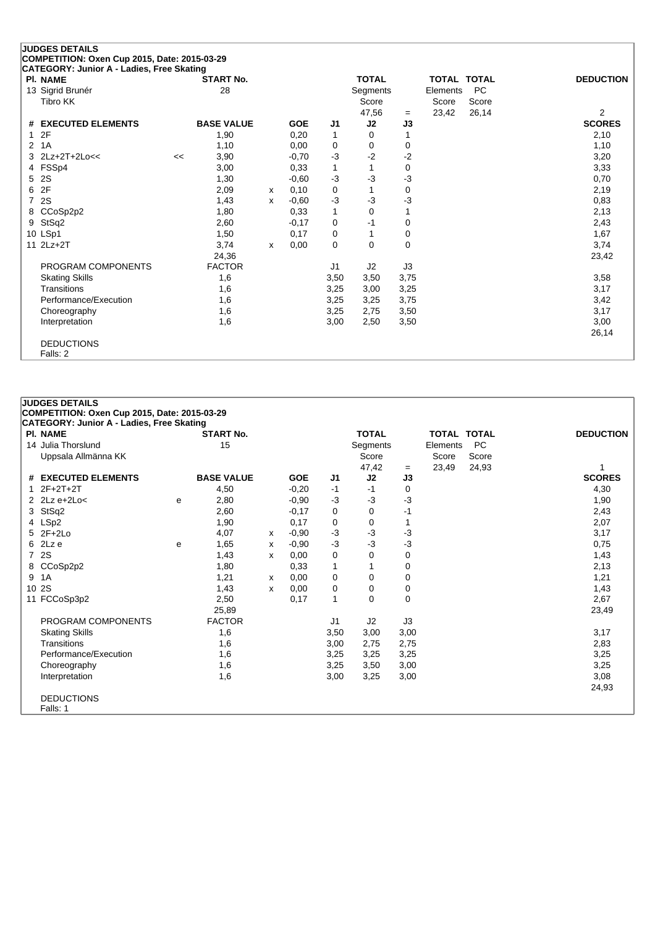# **JUDGES DETAILS COMPETITION: Oxen Cup 2015, Date: 2015-03-29 CATEGORY: Junior A - Ladies, Free Skating**

**JUDGES DETAILS**

DEDUCTIONS Falls: 1

**COMPETITION: Oxen Cup 2015, Date: 2015-03-29**

| PI. NAME              |    | START No.         |   |            |      | TOTAL    |          | TOTAL TOTAL |           | <b>DEDUCTION</b> |
|-----------------------|----|-------------------|---|------------|------|----------|----------|-------------|-----------|------------------|
| 13 Sigrid Brunér      |    | 28                |   |            |      | Segments |          | Elements    | <b>PC</b> |                  |
| Tibro KK              |    |                   |   |            |      | Score    |          | Score       | Score     |                  |
|                       |    |                   |   |            |      | 47,56    | $=$      | 23,42       | 26,14     | $\overline{2}$   |
| # EXECUTED ELEMENTS   |    | <b>BASE VALUE</b> |   | <b>GOE</b> | J1   | J2       | J3       |             |           | <b>SCORES</b>    |
| 12F                   |    | 1,90              |   | 0,20       | 1    | 0        |          |             |           | 2,10             |
| 2 1A                  |    | 1,10              |   | 0,00       | 0    | 0        | 0        |             |           | 1,10             |
| 3 2Lz+2T+2Lo<<        | << | 3,90              |   | $-0,70$    | $-3$ | $-2$     | $-2$     |             |           | 3,20             |
| 4 FSSp4               |    | 3,00              |   | 0,33       | 1    | 1        | 0        |             |           | 3,33             |
| 5 2S                  |    | 1,30              |   | $-0,60$    | $-3$ | $-3$     | $-3$     |             |           | 0,70             |
| 6 2F                  |    | 2,09              | x | 0,10       | 0    | 1        | 0        |             |           | 2,19             |
| 7 2S                  |    | 1,43              | x | $-0,60$    | $-3$ | $-3$     | $-3$     |             |           | 0,83             |
| 8 CCoSp2p2            |    | 1,80              |   | 0,33       | 1    | 0        |          |             |           | 2,13             |
| 9 StSq2               |    | 2,60              |   | $-0,17$    | 0    | $-1$     | 0        |             |           | 2,43             |
| 10 LSp1               |    | 1,50              |   | 0,17       | 0    | 1        | 0        |             |           | 1,67             |
| 11 2Lz+2T             |    | 3,74              | x | 0,00       | 0    | 0        | $\Omega$ |             |           | 3,74             |
|                       |    | 24,36             |   |            |      |          |          |             |           | 23,42            |
| PROGRAM COMPONENTS    |    | <b>FACTOR</b>     |   |            | J1   | J2       | J3       |             |           |                  |
| <b>Skating Skills</b> |    | 1,6               |   |            | 3,50 | 3,50     | 3,75     |             |           | 3,58             |
| Transitions           |    | 1,6               |   |            | 3,25 | 3,00     | 3,25     |             |           | 3,17             |
| Performance/Execution |    | 1,6               |   |            | 3,25 | 3,25     | 3,75     |             |           | 3,42             |
| Choreography          |    | 1,6               |   |            | 3,25 | 2,75     | 3,50     |             |           | 3,17             |
| Interpretation        |    | 1,6               |   |            | 3,00 | 2,50     | 3,50     |             |           | 3,00             |
|                       |    |                   |   |            |      |          |          |             |           | 26,14            |
| <b>DEDUCTIONS</b>     |    |                   |   |            |      |          |          |             |           |                  |
| Falls: 2              |    |                   |   |            |      |          |          |             |           |                  |

#### **CATEGORY: Junior A - Ladies, Free Skating Pl. NAME START No. TOTAL TOTAL TOTAL DEDUCTION** 14 Julia Thorslund 15 Thomas 15 Segments Elements PC Uppsala Allmänna KK Score Score Score  $-$  23,49 24,93  $1$ <br>**J3** SCORES **# EXECUTED ELEMENTS BASE VALUE GOE J1 J2 J3 SCORES** 1 2F+2T+2T 4,50 -0,20 -1 -1 0 4,30 2 2Lz e+2Lo< <sup>e</sup> 2,80 -0,90 -3 -3 -3 1,90 3 StSq2 2,43 2,60 -0,17 0 0 -1 2,43 4 LSp2 1,90 0,17 0 2,07 5 2F+2Lo 4,07 <sup>x</sup> -0,90 -3 -3 -3 3,17 6 2Lz e <sup>e</sup> 1,65 <sup>x</sup> -0,90 -3 -3 -3 0,75 7 2S 1,43 <sup>x</sup> 0,00 0 0 0 1,43 8 CCoSp2p2 1,80 0,33 1 1 0 2,13 9 1A 1,21 <sup>x</sup> 0,00 0 0 0 1,21 10 2S 1,43 <sup>x</sup> 0,00 0 0 0 1,43 11 FCCoSp3p2 2,50 0,17 1 0 0 2,67 25,89 23,49 PROGRAM COMPONENTS FACTOR J1 J2 J3 Skating Skills 1,6 3,50 3,00 3,00 3,17

Transitions 1,6 3,00 2,75 2,75 2,83 Performance/Execution 1,6 3,25 3,25 3,25 3,25 3,25 3,25 Choreography 1,6 3,25 3,50 3,00 3,25 3,50 3,00 Interpretation 1,6 3,00 3,25 3,00 3,08

24,93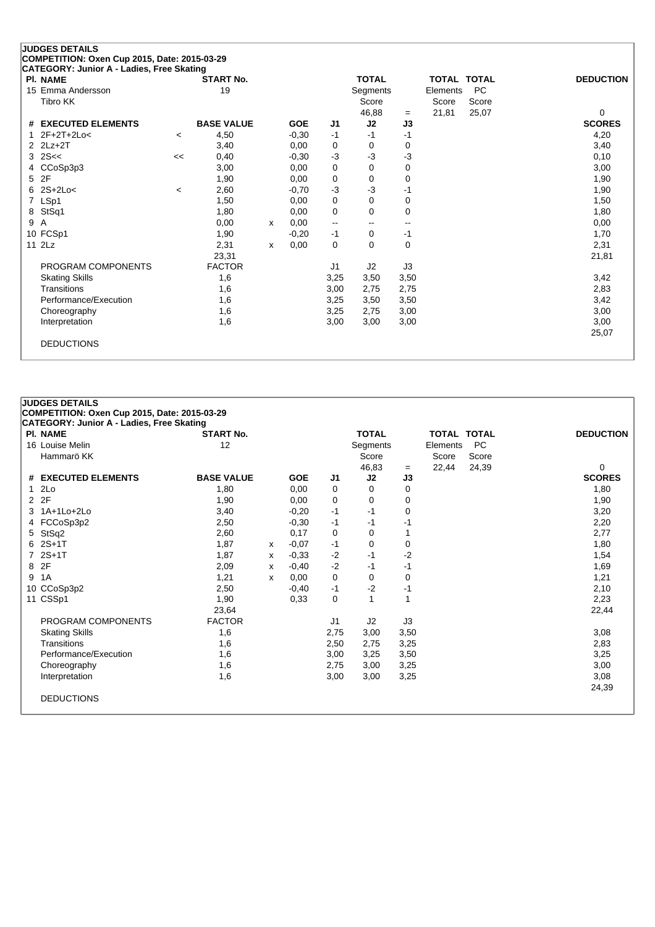### **JUDGES DETAILS COMPETITION: Oxen Cup 2015, Date: 2015-03-29 CATEGORY: Junior A - Ladies, Free Skating Pl. NAME START No. TOTAL TOTAL TOTAL DEDUCTION** 15 Emma Andersson **19** The Segments Andersson **19** Segments Elements PC Tibro KK Score Score Score Score Score Score Score Score Score Score Score Score Score Score Score Score Score 46,88 <sup>=</sup> 21,81 25,07 0 **# EXECUTED ELEMENTS BASE VALUE GOE J1 J2 J3 SCORES** 1 2F+2T+2Lo< <sup>&</sup>lt; 4,50 -0,30 -1 -1 -1 4,20 2 2Lz+2T 3,40 0,00 0 0 0 3,40 3,40  $3 \quad 2$ S<<  $\leq$  0,40  $\leq$  0,30  $\leq$  3  $\leq$  3  $\leq$  3  $\leq$  0,10 4 CCoSp3p3 3,00 0,00 0 0 0 3,00 5 2F 1,90 0,00 0 0 0 1,90 6 2S+2Lo< <sup>&</sup>lt; 2,60 -0,70 -3 -3 -1 1,90 7 LSp1 1,50 0,00 0 0 0 1,50 8 StSq1 1,80 0,00 0 0 0 1,80 9 A 0,00 <sup>x</sup> 0,00 -- -- -- 0,00 10 FCSp1 1,90 -0,20 -1 0 -1 1,70 11 2Lz 2,31 <sup>x</sup> 0,00 0 0 0 2,31 23,31 21,81 PROGRAM COMPONENTS FACTOR J1 J2 J3 Skating Skills 1,6 3,25 3,50 3,50 3,42 Transitions 1,6 3,00 2,75 2,75 2,83 Performance/Execution 1,6 3,25 3,50 3,50 3,50 3,42<br>Choreography 1,6 3,25 2,75 3,00 3.00 3.00

Choreography 1,6 3,25 2,75 3,00 3,00 Interpretation 1,6 3,00 3,00 3,00 3,00

25,07

DEDUCTIONS

| <b>PI. NAME</b>       | <b>START No.</b>  |   |            |      | <b>TOTAL</b> |           | <b>TOTAL TOTAL</b> |           | <b>DEDUCTION</b> |
|-----------------------|-------------------|---|------------|------|--------------|-----------|--------------------|-----------|------------------|
| 16 Louise Melin       | 12                |   |            |      | Segments     |           | Elements           | <b>PC</b> |                  |
| Hammarö KK            |                   |   |            |      | Score        |           | Score              | Score     | 0                |
| # EXECUTED ELEMENTS   | <b>BASE VALUE</b> |   | <b>GOE</b> | J1   | 46,83<br>J2  | $=$<br>J3 | 22,44              | 24,39     | <b>SCORES</b>    |
| 12Lo                  | 1,80              |   | 0,00       | 0    | 0            | 0         |                    |           | 1,80             |
| 2 2F                  | 1,90              |   | 0.00       | 0    | 0            | 0         |                    |           | 1,90             |
| 1A+1Lo+2Lo<br>3       | 3,40              |   | $-0,20$    | $-1$ | $-1$         | 0         |                    |           | 3,20             |
| 4 FCCoSp3p2           | 2,50              |   | $-0,30$    | $-1$ | $-1$         | $-1$      |                    |           | 2,20             |
| 5 StSq2               | 2,60              |   | 0,17       | 0    | 0            |           |                    |           | 2,77             |
| $62S+1T$              | 1,87              | x | $-0,07$    | $-1$ | 0            | 0         |                    |           | 1,80             |
| 7 2S+1T               | 1,87              | x | $-0.33$    | $-2$ | $-1$         | $-2$      |                    |           | 1,54             |
| 8 2F                  | 2,09              | X | $-0,40$    | $-2$ | $-1$         | $-1$      |                    |           | 1,69             |
| 1A<br>9               | 1,21              | x | 0,00       | 0    | 0            | 0         |                    |           | 1,21             |
| 10 CCoSp3p2           | 2,50              |   | $-0,40$    | $-1$ | $-2$         | $-1$      |                    |           | 2,10             |
| 11 CSSp1              | 1,90              |   | 0.33       | 0    | 1            | 1         |                    |           | 2,23             |
|                       | 23,64             |   |            |      |              |           |                    |           | 22,44            |
| PROGRAM COMPONENTS    | <b>FACTOR</b>     |   |            | J1   | J2           | J3        |                    |           |                  |
| <b>Skating Skills</b> | 1,6               |   |            | 2,75 | 3,00         | 3,50      |                    |           | 3,08             |
| Transitions           | 1,6               |   |            | 2,50 | 2,75         | 3,25      |                    |           | 2,83             |
| Performance/Execution | 1,6               |   |            | 3,00 | 3,25         | 3,50      |                    |           | 3,25             |
| Choreography          | 1,6               |   |            | 2,75 | 3,00         | 3,25      |                    |           | 3,00             |
| Interpretation        | 1,6               |   |            | 3,00 | 3,00         | 3,25      |                    |           | 3,08             |
| <b>DEDUCTIONS</b>     |                   |   |            |      |              |           |                    |           | 24,39            |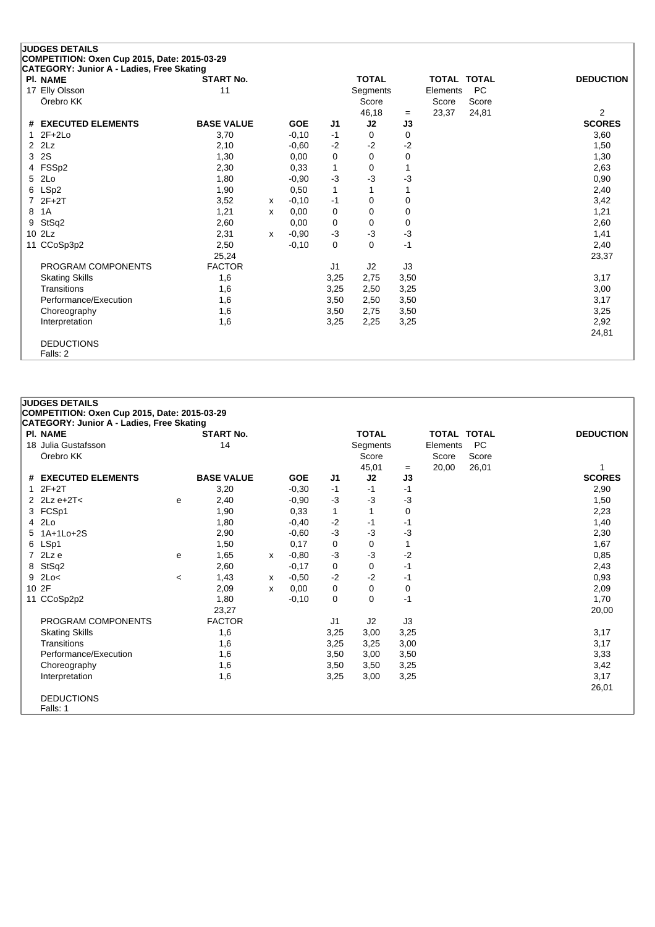#### **JUDGES DETAILS COMPETITION: Oxen Cup 2015, Date: 2015-03-29 CATEGORY: Junior A - Ladies, Free Skating**

|   | PI. NAME              | <b>START No.</b>  |   |            |                | <b>TOTAL</b> |      | <b>TOTAL TOTAL</b> |           | <b>DEDUCTION</b> |
|---|-----------------------|-------------------|---|------------|----------------|--------------|------|--------------------|-----------|------------------|
|   | 17 Elly Olsson        | 11                |   |            |                | Segments     |      | Elements           | <b>PC</b> |                  |
|   | Örebro KK             |                   |   |            |                | Score        |      | Score              | Score     |                  |
|   |                       |                   |   |            |                | 46,18        | $=$  | 23,37              | 24,81     | $\overline{2}$   |
|   | # EXECUTED ELEMENTS   | <b>BASE VALUE</b> |   | <b>GOE</b> | J1             | J2           | J3   |                    |           | <b>SCORES</b>    |
|   | $12F+2Lo$             | 3,70              |   | $-0,10$    | $-1$           | 0            | 0    |                    |           | 3,60             |
|   | $2$ $2$ Lz            | 2,10              |   | $-0,60$    | $-2$           | $-2$         | $-2$ |                    |           | 1,50             |
|   | 3 2S                  | 1,30              |   | 0,00       | 0              | $\mathbf 0$  | 0    |                    |           | 1,30             |
|   | 4 FSSp2               | 2,30              |   | 0,33       | 1              | 0            |      |                    |           | 2,63             |
|   | 5 2Lo                 | 1,80              |   | $-0.90$    | $-3$           | $-3$         | -3   |                    |           | 0,90             |
|   | 6 LSp2                | 1,90              |   | 0,50       | 1              |              |      |                    |           | 2,40             |
|   | 7 2F+2T               | 3,52              | X | $-0,10$    | -1             | 0            | 0    |                    |           | 3,42             |
| 8 | 1A                    | 1,21              | х | 0,00       | 0              | 0            | 0    |                    |           | 1,21             |
|   | 9 StSq2               | 2,60              |   | 0,00       | 0              | 0            | 0    |                    |           | 2,60             |
|   | $10$ $2\text{Lz}$     | 2,31              | X | $-0.90$    | $-3$           | $-3$         | -3   |                    |           | 1,41             |
|   | 11 CCoSp3p2           | 2,50              |   | $-0,10$    | 0              | 0            | -1   |                    |           | 2,40             |
|   |                       | 25,24             |   |            |                |              |      |                    |           | 23,37            |
|   | PROGRAM COMPONENTS    | <b>FACTOR</b>     |   |            | J <sub>1</sub> | J2           | J3   |                    |           |                  |
|   | <b>Skating Skills</b> | 1,6               |   |            | 3,25           | 2,75         | 3,50 |                    |           | 3,17             |
|   | Transitions           | 1,6               |   |            | 3,25           | 2,50         | 3,25 |                    |           | 3,00             |
|   | Performance/Execution | 1,6               |   |            | 3,50           | 2,50         | 3,50 |                    |           | 3,17             |
|   | Choreography          | 1,6               |   |            | 3,50           | 2,75         | 3,50 |                    |           | 3,25             |
|   | Interpretation        | 1,6               |   |            | 3,25           | 2,25         | 3,25 |                    |           | 2,92             |
|   |                       |                   |   |            |                |              |      |                    |           | 24,81            |
|   | <b>DEDUCTIONS</b>     |                   |   |            |                |              |      |                    |           |                  |
|   | Falls: 2              |                   |   |            |                |              |      |                    |           |                  |

#### **JUDGES DETAILS COMPETITION: Oxen Cup 2015, Date: 2015-03-29 CATEGORY: Junior A - Ladies, Free Skating Pl. NAME START No. TOTAL TOTAL TOTAL DEDUCTION** 18 Julia Gustafsson 14 Segments Elements PC

|                       |         |                   |   |            |                | ----------     |      | --------- |       |               |
|-----------------------|---------|-------------------|---|------------|----------------|----------------|------|-----------|-------|---------------|
| Örebro KK             |         |                   |   |            |                | Score          |      | Score     | Score |               |
|                       |         |                   |   |            |                | 45,01          | $=$  | 20,00     | 26,01 |               |
| # EXECUTED ELEMENTS   |         | <b>BASE VALUE</b> |   | <b>GOE</b> | J <sub>1</sub> | J2             | J3   |           |       | <b>SCORES</b> |
| $12F+2T$              |         | 3,20              |   | $-0,30$    | $-1$           | $-1$           | -1   |           |       | 2,90          |
| 2 $2Lz e+2T<$         | e       | 2,40              |   | $-0,90$    | $-3$           | $-3$           | -3   |           |       | 1,50          |
| 3 FCSp1               |         | 1,90              |   | 0,33       | 1              |                | 0    |           |       | 2,23          |
| 4 2Lo                 |         | 1,80              |   | $-0,40$    | $-2$           | $-1$           | -1   |           |       | 1,40          |
| 5 1A+1Lo+2S           |         | 2,90              |   | $-0.60$    | $-3$           | $-3$           | -3   |           |       | 2,30          |
| 6 LSp1                |         | 1,50              |   | 0,17       | 0              | 0              |      |           |       | 1,67          |
| 7 2Lz e               | e       | 1,65              | x | $-0.80$    | $-3$           | $-3$           | -2   |           |       | 0,85          |
| 8 StSq2               |         | 2,60              |   | $-0,17$    | 0              | 0              | -1   |           |       | 2,43          |
| $9$ 2Lo<              | $\,<\,$ | 1,43              | х | $-0,50$    | $-2$           | $-2$           | -1   |           |       | 0,93          |
| 10 2F                 |         | 2,09              | x | 0,00       | 0              | 0              | 0    |           |       | 2,09          |
| 11 CCoSp2p2           |         | 1,80              |   | $-0,10$    | 0              | 0              | $-1$ |           |       | 1,70          |
|                       |         | 23,27             |   |            |                |                |      |           |       | 20,00         |
| PROGRAM COMPONENTS    |         | <b>FACTOR</b>     |   |            | J1             | J <sub>2</sub> | J3   |           |       |               |
| <b>Skating Skills</b> |         | 1,6               |   |            | 3,25           | 3,00           | 3,25 |           |       | 3,17          |
| Transitions           |         | 1,6               |   |            | 3,25           | 3,25           | 3,00 |           |       | 3,17          |
| Performance/Execution |         | 1,6               |   |            | 3,50           | 3,00           | 3,50 |           |       | 3,33          |
| Choreography          |         | 1,6               |   |            | 3,50           | 3,50           | 3,25 |           |       | 3,42          |
| Interpretation        |         | 1,6               |   |            | 3,25           | 3,00           | 3,25 |           |       | 3,17          |
|                       |         |                   |   |            |                |                |      |           |       | 26,01         |
| <b>DEDUCTIONS</b>     |         |                   |   |            |                |                |      |           |       |               |
| Falls: 1              |         |                   |   |            |                |                |      |           |       |               |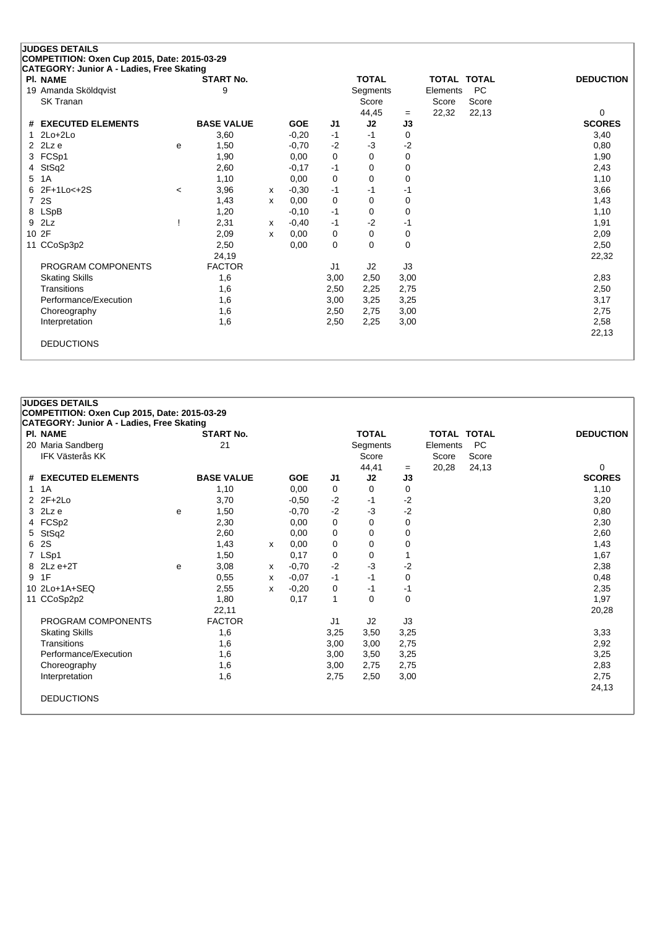| <b>PI. NAME</b>               |       | <b>START No.</b>  |   |            |      | <b>TOTAL</b>    |      | <b>TOTAL TOTAL</b> |           | <b>DEDUCTION</b> |
|-------------------------------|-------|-------------------|---|------------|------|-----------------|------|--------------------|-----------|------------------|
| 19 Amanda Sköldqvist          |       | 9                 |   |            |      | <b>Segments</b> |      | Elements           | <b>PC</b> |                  |
| <b>SK Tranan</b>              |       |                   |   |            |      | Score           |      | Score              | Score     |                  |
|                               |       |                   |   |            |      | 44,45           | $=$  | 22,32              | 22,13     | $\Omega$         |
| # EXECUTED ELEMENTS           |       | <b>BASE VALUE</b> |   | <b>GOE</b> | J1   | J2              | J3   |                    |           | <b>SCORES</b>    |
| $2Lo+2Lo$                     |       | 3,60              |   | $-0,20$    | $-1$ | $-1$            | 0    |                    |           | 3,40             |
| 2Lz e<br>$\mathbf{2}^{\circ}$ | e     | 1,50              |   | $-0,70$    | $-2$ | $-3$            | $-2$ |                    |           | 0,80             |
| FCSp1<br>3                    |       | 1,90              |   | 0,00       | 0    | $\Omega$        | 0    |                    |           | 1,90             |
| StSq2<br>4                    |       | 2,60              |   | $-0,17$    | $-1$ | 0               | 0    |                    |           | 2,43             |
| 1A<br>5                       |       | 1,10              |   | 0,00       | 0    | 0               | 0    |                    |           | 1,10             |
| 2F+1Lo<+2S<br>6               | $\,<$ | 3,96              | X | $-0,30$    | $-1$ | -1              | -1   |                    |           | 3,66             |
| 2S<br>7                       |       | 1,43              | X | 0.00       | 0    | 0               | 0    |                    |           | 1,43             |
| <b>LSpB</b><br>8              |       | 1,20              |   | $-0,10$    | $-1$ | 0               | 0    |                    |           | 1,10             |
| 2Lz<br>9                      |       | 2,31              | X | $-0,40$    | $-1$ | $-2$            | -1   |                    |           | 1,91             |
| 10 2F                         |       | 2,09              | x | 0.00       | 0    | 0               | 0    |                    |           | 2,09             |
| 11 CCoSp3p2                   |       | 2,50              |   | 0,00       | 0    | 0               | 0    |                    |           | 2,50             |
|                               |       | 24,19             |   |            |      |                 |      |                    |           | 22,32            |
| PROGRAM COMPONENTS            |       | <b>FACTOR</b>     |   |            | J1   | J <sub>2</sub>  | J3   |                    |           |                  |
| <b>Skating Skills</b>         |       | 1,6               |   |            | 3,00 | 2,50            | 3,00 |                    |           | 2,83             |
| Transitions                   |       | 1,6               |   |            | 2,50 | 2,25            | 2,75 |                    |           | 2,50             |
| Performance/Execution         |       | 1,6               |   |            | 3,00 | 3,25            | 3,25 |                    |           | 3,17             |
| Choreography                  |       | 1,6               |   |            | 2,50 | 2,75            | 3,00 |                    |           | 2,75             |
| Interpretation                |       | 1,6               |   |            | 2,50 | 2,25            | 3,00 |                    |           | 2,58             |
|                               |       |                   |   |            |      |                 |      |                    |           | 22,13            |

|   | <b>JUDGES DETAILS</b><br>COMPETITION: Oxen Cup 2015, Date: 2015-03-29 |   |                   |   |            |                |              |      |                    |           |                  |
|---|-----------------------------------------------------------------------|---|-------------------|---|------------|----------------|--------------|------|--------------------|-----------|------------------|
|   | <b>CATEGORY: Junior A - Ladies, Free Skating</b><br><b>PI. NAME</b>   |   | <b>START No.</b>  |   |            |                | <b>TOTAL</b> |      | <b>TOTAL TOTAL</b> |           | <b>DEDUCTION</b> |
|   | 20 Maria Sandberg                                                     |   | 21                |   |            |                | Segments     |      | Elements           | <b>PC</b> |                  |
|   | <b>IFK Västerås KK</b>                                                |   |                   |   |            |                | Score        |      | Score              | Score     |                  |
|   |                                                                       |   |                   |   |            |                | 44,41        | $=$  | 20,28              | 24,13     | 0                |
|   | # EXECUTED ELEMENTS                                                   |   | <b>BASE VALUE</b> |   | <b>GOE</b> | J1             | J2           | J3   |                    |           | <b>SCORES</b>    |
|   | 1 1 A                                                                 |   | 1,10              |   | 0,00       | 0              | $\Omega$     | 0    |                    |           | 1,10             |
|   | 2 2F+2Lo                                                              |   | 3,70              |   | $-0.50$    | $-2$           | -1           | -2   |                    |           | 3,20             |
|   | $3$ 2Lz e                                                             | e | 1,50              |   | $-0.70$    | $-2$           | $-3$         | $-2$ |                    |           | 0,80             |
|   | 4 FCSp2                                                               |   | 2,30              |   | 0,00       | 0              | 0            | 0    |                    |           | 2,30             |
|   | 5 StSq2                                                               |   | 2,60              |   | 0,00       | 0              | 0            | 0    |                    |           | 2,60             |
|   | 6 2S                                                                  |   | 1,43              | X | 0,00       | 0              | 0            | 0    |                    |           | 1,43             |
|   | 7 LSp1                                                                |   | 1,50              |   | 0,17       | 0              | 0            |      |                    |           | 1,67             |
|   | $8$ 2Lz e+2T                                                          | e | 3,08              | х | $-0,70$    | $-2$           | $-3$         | $-2$ |                    |           | 2,38             |
| 9 | 1F                                                                    |   | 0,55              | x | $-0,07$    | $-1$           | $-1$         | 0    |                    |           | 0,48             |
|   | 10 2Lo+1A+SEQ                                                         |   | 2,55              | X | $-0,20$    | 0              | -1           | -1   |                    |           | 2,35             |
|   | 11 CCoSp2p2                                                           |   | 1,80              |   | 0,17       | $\mathbf{1}$   | $\Omega$     | 0    |                    |           | 1,97             |
|   |                                                                       |   | 22,11             |   |            |                |              |      |                    |           | 20,28            |
|   | PROGRAM COMPONENTS                                                    |   | <b>FACTOR</b>     |   |            | J <sub>1</sub> | J2           | J3   |                    |           |                  |
|   | <b>Skating Skills</b>                                                 |   | 1,6               |   |            | 3,25           | 3,50         | 3,25 |                    |           | 3,33             |
|   | Transitions                                                           |   | 1,6               |   |            | 3,00           | 3,00         | 2,75 |                    |           | 2,92             |
|   | Performance/Execution                                                 |   | 1,6               |   |            | 3,00           | 3,50         | 3,25 |                    |           | 3,25             |
|   | Choreography                                                          |   | 1,6               |   |            | 3,00           | 2,75         | 2,75 |                    |           | 2,83             |
|   | Interpretation                                                        |   | 1,6               |   |            | 2,75           | 2,50         | 3,00 |                    |           | 2,75             |
|   |                                                                       |   |                   |   |            |                |              |      |                    |           | 24,13            |
|   | <b>DEDUCTIONS</b>                                                     |   |                   |   |            |                |              |      |                    |           |                  |
|   |                                                                       |   |                   |   |            |                |              |      |                    |           |                  |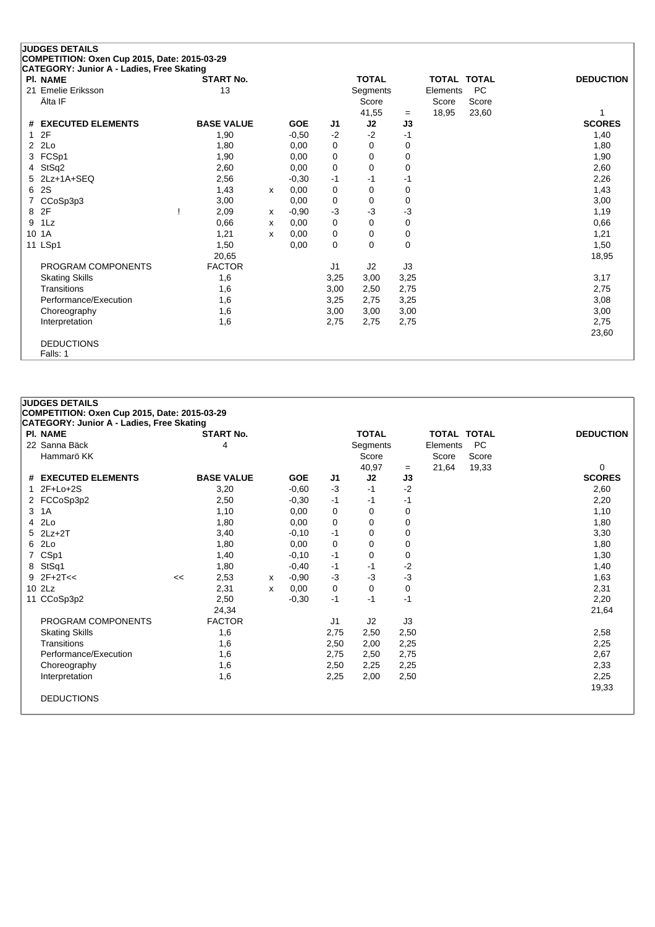|                | <b>JUDGES DETAILS</b>                                        |                   |   |            |                |              |          |                    |           |                  |
|----------------|--------------------------------------------------------------|-------------------|---|------------|----------------|--------------|----------|--------------------|-----------|------------------|
|                | COMPETITION: Oxen Cup 2015, Date: 2015-03-29                 |                   |   |            |                |              |          |                    |           |                  |
|                | CATEGORY: Junior A - Ladies, Free Skating<br><b>PI. NAME</b> | <b>START No.</b>  |   |            |                | <b>TOTAL</b> |          | <b>TOTAL TOTAL</b> |           | <b>DEDUCTION</b> |
|                | 21 Emelie Eriksson                                           | 13                |   |            |                | Segments     |          | Elements           | <b>PC</b> |                  |
|                | Älta IF                                                      |                   |   |            |                | Score        |          | Score              | Score     |                  |
|                |                                                              |                   |   |            |                | 41,55        | $=$      | 18,95              | 23,60     |                  |
|                | # EXECUTED ELEMENTS                                          | <b>BASE VALUE</b> |   | <b>GOE</b> | J1             | J2           | J3       |                    |           | <b>SCORES</b>    |
| 1              | 2F                                                           | 1,90              |   | $-0.50$    | $-2$           | $-2$         | $-1$     |                    |           | 1,40             |
| $\overline{2}$ | 2Lo                                                          | 1,80              |   | 0.00       | 0              | 0            | 0        |                    |           | 1,80             |
| 3              | FCSp1                                                        | 1,90              |   | 0,00       | 0              | 0            | 0        |                    |           | 1,90             |
| 4              | StSq2                                                        | 2,60              |   | 0,00       | $\mathbf 0$    | $\Omega$     | 0        |                    |           | 2,60             |
| 5.             | 2Lz+1A+SEQ                                                   | 2,56              |   | $-0.30$    | $-1$           | $-1$         | $-1$     |                    |           | 2,26             |
| 6              | 2S                                                           | 1,43              | x | 0,00       | 0              | 0            | 0        |                    |           | 1,43             |
|                | CCoSp3p3                                                     | 3,00              |   | 0,00       | 0              | 0            | 0        |                    |           | 3,00             |
| 8              | 2F                                                           | 2,09              | X | $-0,90$    | $-3$           | -3           | -3       |                    |           | 1,19             |
| 9              | 1Lz                                                          | 0,66              | x | 0,00       | $\mathbf 0$    | 0            | 0        |                    |           | 0,66             |
|                | 10 1A                                                        | 1,21              | x | 0,00       | 0              | 0            | 0        |                    |           | 1,21             |
|                | 11 LSp1                                                      | 1,50              |   | 0,00       | $\mathbf 0$    | 0            | $\Omega$ |                    |           | 1,50             |
|                |                                                              | 20,65             |   |            |                |              |          |                    |           | 18,95            |
|                | PROGRAM COMPONENTS                                           | <b>FACTOR</b>     |   |            | J <sub>1</sub> | J2           | J3       |                    |           |                  |
|                | <b>Skating Skills</b>                                        | 1,6               |   |            | 3,25           | 3,00         | 3,25     |                    |           | 3,17             |
|                | Transitions                                                  | 1,6               |   |            | 3,00           | 2,50         | 2,75     |                    |           | 2,75             |
|                | Performance/Execution                                        | 1,6               |   |            | 3,25           | 2,75         | 3,25     |                    |           | 3,08             |
|                | Choreography                                                 | 1,6               |   |            | 3,00           | 3,00         | 3,00     |                    |           | 3,00             |
|                | Interpretation                                               | 1,6               |   |            | 2,75           | 2,75         | 2,75     |                    |           | 2,75             |
|                |                                                              |                   |   |            |                |              |          |                    |           | 23,60            |
|                | <b>DEDUCTIONS</b>                                            |                   |   |            |                |              |          |                    |           |                  |
|                | Falls: 1                                                     |                   |   |            |                |              |          |                    |           |                  |

|   | <b>JUDGES DETAILS</b>                            |    |                   |   |            |                |              |      |                    |           |                  |  |
|---|--------------------------------------------------|----|-------------------|---|------------|----------------|--------------|------|--------------------|-----------|------------------|--|
|   | COMPETITION: Oxen Cup 2015, Date: 2015-03-29     |    |                   |   |            |                |              |      |                    |           |                  |  |
|   | <b>CATEGORY: Junior A - Ladies, Free Skating</b> |    |                   |   |            |                |              |      |                    |           |                  |  |
|   | <b>PI. NAME</b>                                  |    | <b>START No.</b>  |   |            |                | <b>TOTAL</b> |      | <b>TOTAL TOTAL</b> |           | <b>DEDUCTION</b> |  |
|   | 22 Sanna Bäck                                    |    | 4                 |   |            |                | Segments     |      | Elements           | <b>PC</b> |                  |  |
|   | Hammarö KK                                       |    |                   |   |            |                | Score        |      | Score              | Score     |                  |  |
|   |                                                  |    |                   |   |            |                | 40,97        | $=$  | 21,64              | 19,33     | $\Omega$         |  |
|   | # EXECUTED ELEMENTS                              |    | <b>BASE VALUE</b> |   | <b>GOE</b> | J1             | J2           | J3   |                    |           | <b>SCORES</b>    |  |
|   | $2F+Lo+2S$                                       |    | 3,20              |   | $-0.60$    | $-3$           | $-1$         | $-2$ |                    |           | 2,60             |  |
|   | 2 FCCoSp3p2                                      |    | 2,50              |   | $-0,30$    | $-1$           | -1           | -1   |                    |           | 2,20             |  |
| 3 | 1A                                               |    | 1,10              |   | 0,00       | 0              | 0            | 0    |                    |           | 1,10             |  |
|   | 4 2Lo                                            |    | 1,80              |   | 0,00       | 0              | $\Omega$     | 0    |                    |           | 1,80             |  |
|   | $5$ $2Lz+2T$                                     |    | 3,40              |   | $-0,10$    | $-1$           | 0            | 0    |                    |           | 3,30             |  |
|   | 6 2Lo                                            |    | 1,80              |   | 0,00       | 0              | 0            | 0    |                    |           | 1,80             |  |
|   | 7 CSp1                                           |    | 1,40              |   | $-0,10$    | $-1$           | 0            | 0    |                    |           | 1,30             |  |
|   | 8 StSq1                                          |    | 1,80              |   | $-0,40$    | -1             | -1           | -2   |                    |           | 1,40             |  |
|   | $9$ 2F+2T <<                                     | << | 2,53              | x | $-0.90$    | $-3$           | -3           | -3   |                    |           | 1,63             |  |
|   | 10 2Lz                                           |    | 2,31              | x | 0,00       | 0              | 0            | 0    |                    |           | 2,31             |  |
|   | 11 CCoSp3p2                                      |    | 2,50              |   | $-0,30$    | $-1$           | $-1$         | $-1$ |                    |           | 2,20             |  |
|   |                                                  |    | 24,34             |   |            |                |              |      |                    |           | 21,64            |  |
|   | PROGRAM COMPONENTS                               |    | <b>FACTOR</b>     |   |            | J <sub>1</sub> | J2           | J3   |                    |           |                  |  |
|   | <b>Skating Skills</b>                            |    | 1,6               |   |            | 2,75           | 2,50         | 2,50 |                    |           | 2,58             |  |
|   | Transitions                                      |    | 1,6               |   |            | 2,50           | 2,00         | 2,25 |                    |           | 2,25             |  |
|   | Performance/Execution                            |    | 1,6               |   |            | 2,75           | 2,50         | 2,75 |                    |           | 2,67             |  |
|   | Choreography                                     |    | 1,6               |   |            | 2,50           | 2,25         | 2,25 |                    |           | 2,33             |  |
|   | Interpretation                                   |    | 1,6               |   |            | 2,25           | 2,00         | 2,50 |                    |           | 2,25             |  |
|   |                                                  |    |                   |   |            |                |              |      |                    |           | 19,33            |  |
|   | <b>DEDUCTIONS</b>                                |    |                   |   |            |                |              |      |                    |           |                  |  |
|   |                                                  |    |                   |   |            |                |              |      |                    |           |                  |  |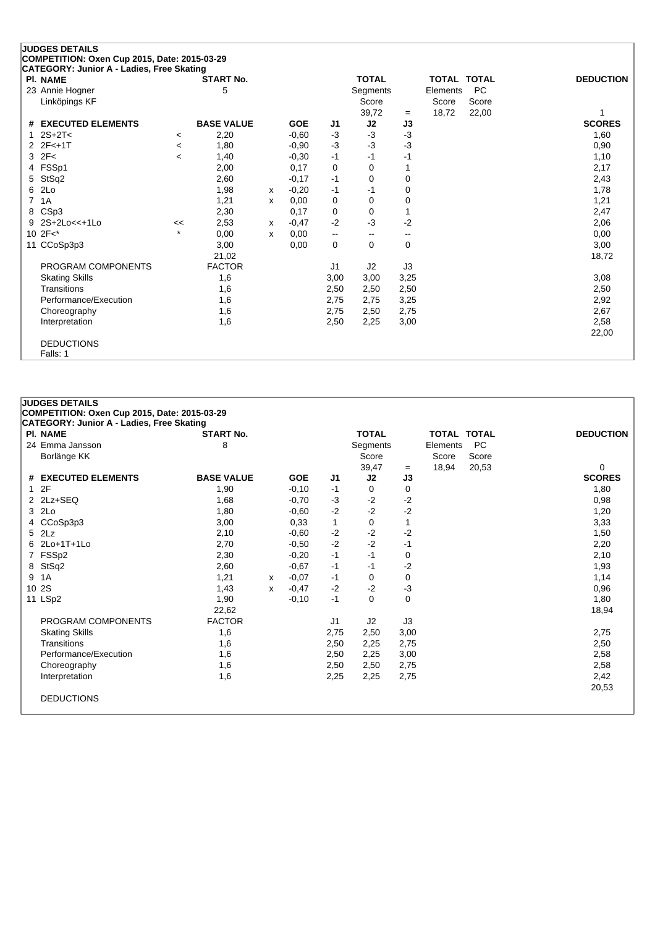#### **JUDGES DETAILS COMPETITION: Oxen Cup 2015, Date: 2015-03-29 CATEGORY: Junior A - Ladies, Free Skating Pl. NAME START No. TOTAL TOTAL TOTAL DEDUCTION** 23 Annie Hogner 6 November 23 Annie Hogner 1990 Segments 23 Annie Hogner 1990 Score 5 November 2011 Score 5 No<br>
Linköpings KF Score Score Score<br>39.72 = 18.72 22.00  $=$  18,72 22,00 1 **# EXECUTED ELEMENTS BASE VALUE GOE J1 J2 J3 SCORES** 1 2S+2T< <sup>&</sup>lt; 2,20 -0,60 -3 -3 -3 1,60 2 2F<+1T <sup>&</sup>lt; 1,80 -0,90 -3 -3 -3 0,90 3 2F< <sup>&</sup>lt; 1,40 -0,30 -1 -1 -1 1,10 4 FSSp1 2,00 0,17 0 0 1 2,17 5 StSq2 2,60 -0,17 -1 0 0 2,43 6 2Lo 1,98 <sup>x</sup> -0,20 -1 -1 0 1,78 7 1A 1,21 <sup>x</sup> 0,00 0 0 0 1,21 8 CSp3 2,30 0,17 0 0 1 2,47 9 2S+2Lo<<+1Lo << 2,53 <sup>x</sup> -0,47 -2 -3 -2 2,06 10 2F<\* \* 0,00 <sup>x</sup> 0,00 -- -- -- 0,00 11 CCoSp3p3 3,00 0,00 0 0 0 3,00 3,00 21,02 18,72 PROGRAM COMPONENTS FACTOR U1 J2 J3 Skating Skills 1,6 3,00 3,00 3,25 3,08 Transitions 1,6 2,50 2,50 2,50 2,50

Performance/Execution 1,6 2,75 2,75 3,25 2,92 Choreography 1,6 2,75 2,50 2,75 2,50 2,75 2,67 2,67 2,67 2,67 2,67 2,68 Interpretation 1,6 2,50 2,25 3,00 2,58

22,00

DEDUCTIONS Falls: 1

| <b>PI. NAME</b>       | <b>START No.</b>  |   |            |                | <b>TOTAL</b> |      |          | <b>TOTAL TOTAL</b> | <b>DEDUCTION</b> |
|-----------------------|-------------------|---|------------|----------------|--------------|------|----------|--------------------|------------------|
| 24 Emma Jansson       | 8                 |   |            |                | Segments     |      | Elements | <b>PC</b>          |                  |
| Borlänge KK           |                   |   |            |                | Score        |      | Score    | Score              |                  |
|                       |                   |   |            |                | 39,47        | $=$  | 18,94    | 20,53              | $\Omega$         |
| # EXECUTED ELEMENTS   | <b>BASE VALUE</b> |   | <b>GOE</b> | J1             | J2           | J3   |          |                    | <b>SCORES</b>    |
| 12F                   | 1,90              |   | $-0,10$    | $-1$           | 0            | 0    |          |                    | 1,80             |
| 2 2Lz+SEQ             | 1,68              |   | $-0,70$    | $-3$           | $-2$         | $-2$ |          |                    | 0,98             |
| 3 2Lo                 | 1,80              |   | $-0.60$    | $-2$           | $-2$         | $-2$ |          |                    | 1,20             |
| 4 CCoSp3p3            | 3,00              |   | 0,33       | $\mathbf{1}$   | 0            | 1    |          |                    | 3,33             |
| 5 2Lz                 | 2,10              |   | $-0.60$    | $-2$           | $-2$         | $-2$ |          |                    | 1,50             |
| 6 2Lo+1T+1Lo          | 2,70              |   | $-0.50$    | $-2$           | $-2$         | $-1$ |          |                    | 2,20             |
| 7 FSSp2               | 2,30              |   | $-0,20$    | $-1$           | $-1$         | 0    |          |                    | 2,10             |
| 8 StSq2               | 2,60              |   | $-0.67$    | $-1$           | $-1$         | $-2$ |          |                    | 1,93             |
| 1A<br>9               | 1,21              | x | $-0.07$    | $-1$           | 0            | 0    |          |                    | 1,14             |
| 10 2S                 | 1,43              | X | $-0,47$    | $-2$           | $-2$         | $-3$ |          |                    | 0,96             |
| 11 LSp2               | 1,90              |   | $-0,10$    | $-1$           | $\mathbf 0$  | 0    |          |                    | 1,80             |
|                       | 22,62             |   |            |                |              |      |          |                    | 18,94            |
| PROGRAM COMPONENTS    | <b>FACTOR</b>     |   |            | J <sub>1</sub> | J2           | J3   |          |                    |                  |
| <b>Skating Skills</b> | 1,6               |   |            | 2,75           | 2,50         | 3,00 |          |                    | 2,75             |
| Transitions           | 1,6               |   |            | 2,50           | 2,25         | 2,75 |          |                    | 2,50             |
| Performance/Execution | 1,6               |   |            | 2,50           | 2,25         | 3,00 |          |                    | 2,58             |
| Choreography          | 1,6               |   |            | 2,50           | 2,50         | 2,75 |          |                    | 2,58             |
| Interpretation        | 1,6               |   |            | 2,25           | 2,25         | 2,75 |          |                    | 2,42             |
|                       |                   |   |            |                |              |      |          |                    | 20,53            |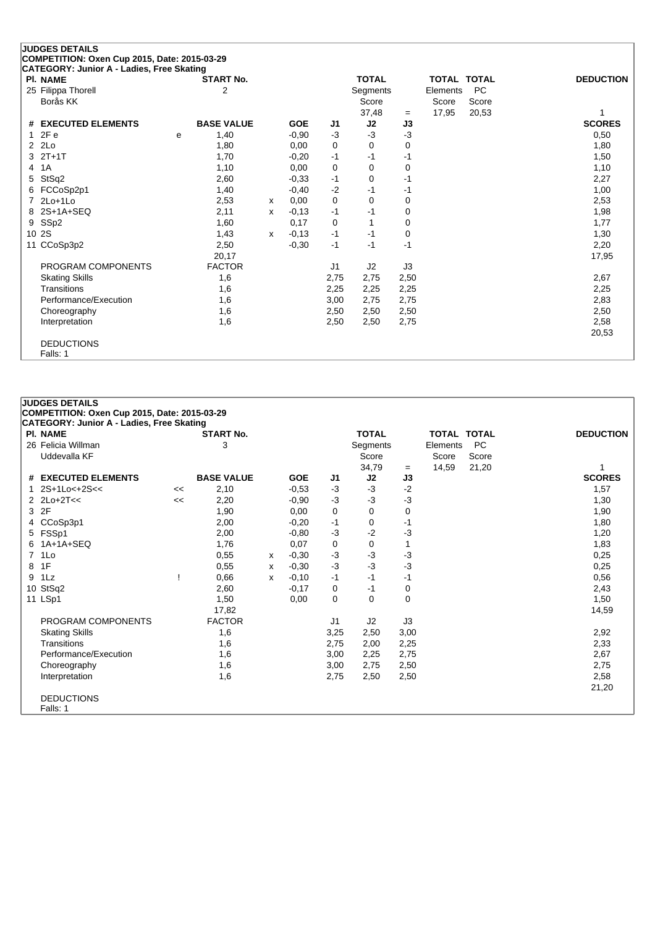#### **JUDGES DETAILS COMPETITION: Oxen Cup 2015, Date: 2015-03-29 CATEGORY: Junior A - Ladies, Free Skating**

|   | CATEGORT. JUINOI A - Laures, Free Skaulig<br><b>PI. NAME</b> |   | <b>START No.</b>  |   |            |                | <b>TOTAL</b> |      | <b>TOTAL TOTAL</b> |           | <b>DEDUCTION</b> |
|---|--------------------------------------------------------------|---|-------------------|---|------------|----------------|--------------|------|--------------------|-----------|------------------|
|   | 25 Filippa Thorell                                           |   | 2                 |   |            |                | Segments     |      | Elements           | <b>PC</b> |                  |
|   | Borås KK                                                     |   |                   |   |            |                | Score        |      | Score              | Score     |                  |
|   |                                                              |   |                   |   |            |                | 37,48        | $=$  | 17,95              | 20,53     |                  |
|   | # EXECUTED ELEMENTS                                          |   | <b>BASE VALUE</b> |   | <b>GOE</b> | J <sub>1</sub> | J2           | J3   |                    |           | <b>SCORES</b>    |
|   | 12Fe                                                         | e | 1,40              |   | $-0,90$    | $-3$           | -3           | $-3$ |                    |           | 0,50             |
|   | $2$ $2Lo$                                                    |   | 1,80              |   | 0,00       | 0              | 0            | 0    |                    |           | 1,80             |
|   | $3$ $2T+1T$                                                  |   | 1,70              |   | $-0,20$    | $-1$           | $-1$         | $-1$ |                    |           | 1,50             |
| 4 | 1A                                                           |   | 1,10              |   | 0,00       | 0              | 0            | 0    |                    |           | 1,10             |
| 5 | StSq2                                                        |   | 2,60              |   | $-0,33$    | -1             | 0            | -1   |                    |           | 2,27             |
|   | 6 FCCoSp2p1                                                  |   | 1,40              |   | $-0,40$    | $-2$           | -1           | -1   |                    |           | 1,00             |
|   | 7 2Lo+1Lo                                                    |   | 2,53              | х | 0,00       | 0              | 0            | 0    |                    |           | 2,53             |
|   | 8 2S+1A+SEQ                                                  |   | 2,11              | x | $-0,13$    | -1             | $-1$         | 0    |                    |           | 1,98             |
|   | 9 SSp2                                                       |   | 1,60              |   | 0,17       | 0              | 1            | 0    |                    |           | 1,77             |
|   | 10 2S                                                        |   | 1,43              | x | $-0,13$    | $-1$           | $-1$         | 0    |                    |           | 1,30             |
|   | 11 CCoSp3p2                                                  |   | 2,50              |   | $-0,30$    | $-1$           | $-1$         | $-1$ |                    |           | 2,20             |
|   |                                                              |   | 20,17             |   |            |                |              |      |                    |           | 17,95            |
|   | PROGRAM COMPONENTS                                           |   | <b>FACTOR</b>     |   |            | J <sub>1</sub> | J2           | J3   |                    |           |                  |
|   | <b>Skating Skills</b>                                        |   | 1,6               |   |            | 2,75           | 2,75         | 2,50 |                    |           | 2,67             |
|   | Transitions                                                  |   | 1,6               |   |            | 2,25           | 2,25         | 2,25 |                    |           | 2,25             |
|   | Performance/Execution                                        |   | 1,6               |   |            | 3,00           | 2,75         | 2,75 |                    |           | 2,83             |
|   | Choreography                                                 |   | 1,6               |   |            | 2,50           | 2,50         | 2,50 |                    |           | 2,50             |
|   | Interpretation                                               |   | 1,6               |   |            | 2,50           | 2,50         | 2,75 |                    |           | 2,58             |
|   |                                                              |   |                   |   |            |                |              |      |                    |           | 20,53            |
|   | <b>DEDUCTIONS</b>                                            |   |                   |   |            |                |              |      |                    |           |                  |
|   | Falls: 1                                                     |   |                   |   |            |                |              |      |                    |           |                  |

#### **JUDGES DETAILS COMPETITION: Oxen Cup 2015, Date: 2015-03-29 CATEGORY: Junior A - Ladies, Free Skating Pl. NAME START No. TOTAL TOTAL TOTAL DEDUCTION** 26 Felicia Willman 3 Segments Elements PC Score Score Score 34,79 = 14,59 21,20 1<br> **J2 J3** SCORES **# EXECUTED ELEMENTS BASE VALUE GOE J1 J2 J3 SCORES** 1 2S+1Lo<+2S<< << 2,10 -0,53 -3 -3 -2 1,57 2 2Lo+2T<< << 2,20 -0,90 -3 -3 -3 1,30 3 2F 1,90 0,00 0 0 0 1,90 4 CCoSp3p1 2,00 -0,20 -1 0 -1 1,80 5 FSSp1 2,00 -0,80 -3 -2 -3 1,20 6 1A+1A+SEQ 1,76 0,07 0 0 1 1,83 7 1Lo 0,55 <sup>x</sup> -0,30 -3 -3 -3 0,25 8 1F 0,55 <sup>x</sup> -0,30 -3 -3 -3 0,25 9 1Lz ! 0,66 <sup>x</sup> -0,10 -1 -1 -1 0,56 10 StSq2 2,60 -0,17 0 -1 0 2,43 11 LSp1 1,50 0,00 0 0 0 1,50 17,82 14,59 PROGRAM COMPONENTS FACTOR J1 J2 J3 Skating Skills 1,6 3,25 2,50 3,00 2,92 Transitions 1,6 2,75 2,00 2,25 2,33 Performance/Execution 1,6 3,00 2,25 2,75 2,67 Choreography 1,6 3,00 2,75 2,50 2,75 2,75 Interpretation 1,6 2,75 2,50 2,50 2,58 21,20 DEDUCTIONS Falls: 1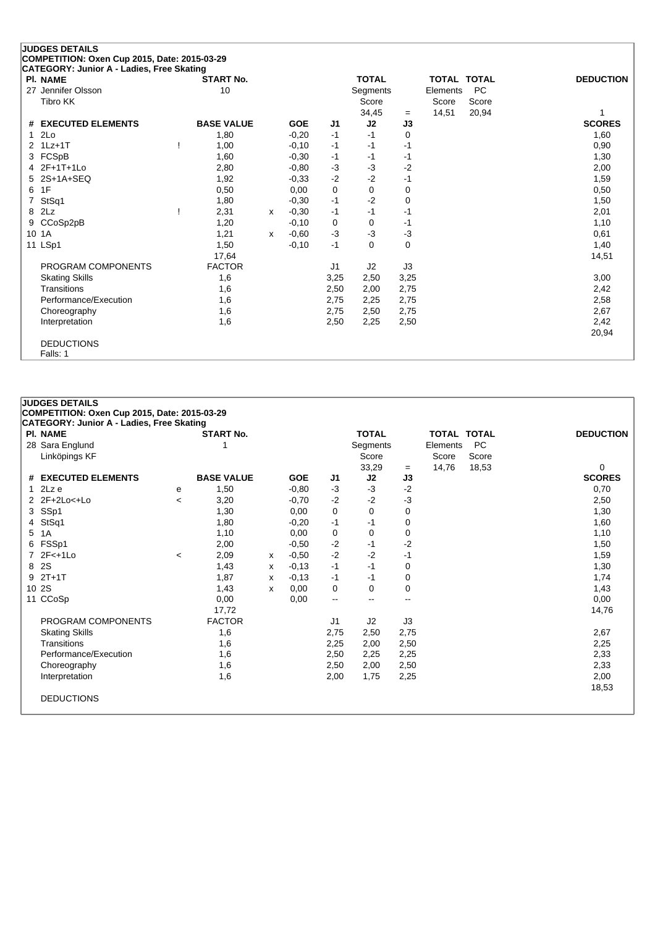#### **JUDGES DETAILS COMPETITION: Oxen Cup 2015, Date: 2015-03-29 CATEGORY: Junior A - Ladies, Free Skating Pl. NAME START No. TOTAL TOTAL TOTAL DEDUCTION** 27 Jennifer Olsson 27 Jennifer Olsson 27 Jennifer Olsson 27 Jennifer Olsson 20 10 Tibro KK Score Score Score Score Score Score Score Score Score Score Score Score Score Score Score Score Score  $34,45 = 14,51 \quad 20,94$ **# EXECUTED ELEMENTS BASE VALUE GOE J1 J2 J3 SCORES** 1 2Lo 1,80 -0,20 -1 -1 0 1,60 2 1Lz+1T ! 1,00 -0,10 -1 -1 -1 0,90 3 FCSpB 1,60 -0,30 -1 -1 -1 1,30 4 2F+1T+1Lo 2,80 -0,80 -3 -3 -2 2,00 5 2S+1A+SEQ 1,92 -0,33 -2 -2 -1 1,59  $6$  1F  $0,50$   $0,00$   $0$   $0$   $0$   $0$   $0$   $0$   $0$   $0,50$ 7 StSq1 1,80 -0,30 -1 -2 0 1,50 8 2Lz ! 2,31 <sup>x</sup> -0,30 -1 -1 -1 2,01 9 CCoSp2pB 1,20 -0,10 0 0 -1 1,10 10 1A 1,21 <sup>x</sup> -0,60 -3 -3 -3 0,61 11 LSp1 1,50 -0,10 -1 0 0 1,40 17,64 14,51 PROGRAM COMPONENTS FACTOR U1 J2 J3 Skating Skills 1,6 3,25 2,50 3,25 3,00 Transitions 1,6 2,50 2,00 2,75 2,42 Performance/Execution 1,6 2,75 2,25 2,75 2,58

Choreography 1,6 2,75 2,50 2,75 2,50 2,75 2,67 2,42<br>
Interpretation 1,6 2,50 2,25 2,50 Interpretation 1,6 2,50 2,25 2,50 2,42

20,94

DEDUCTIONS

Falls: 1

|   | CATEGORY: Junior A - Ladies, Free Skating<br><b>PI. NAME</b> |                          | <b>START No.</b>  |   |                 |                          | <b>TOTAL</b>             |                          | <b>TOTAL TOTAL</b> |           | <b>DEDUCTION</b>   |
|---|--------------------------------------------------------------|--------------------------|-------------------|---|-----------------|--------------------------|--------------------------|--------------------------|--------------------|-----------|--------------------|
|   | 28 Sara Englund                                              |                          | 1                 |   |                 |                          | Segments                 |                          | Elements           | <b>PC</b> |                    |
|   | Linköpings KF                                                |                          |                   |   |                 |                          | Score                    |                          | Score              | Score     |                    |
|   | # EXECUTED ELEMENTS                                          |                          | <b>BASE VALUE</b> |   | <b>GOE</b>      | J1                       | 33,29<br>J2              | $=$<br>J3                | 14,76              | 18,53     | 0<br><b>SCORES</b> |
|   | 1 $2Lz$ e                                                    |                          | 1,50              |   | $-0.80$         | $-3$                     | $-3$                     | $-2$                     |                    |           | 0,70               |
|   | 2 2F+2Lo<+Lo                                                 | е                        |                   |   |                 | $-2$                     | $-2$                     | $-3$                     |                    |           |                    |
|   | 3 SSp1                                                       | $\overline{\phantom{a}}$ | 3,20<br>1,30      |   | $-0,70$<br>0,00 | $\mathbf 0$              | $\mathbf 0$              | 0                        |                    |           | 2,50<br>1,30       |
|   | 4 StSq1                                                      |                          | 1,80              |   | $-0,20$         |                          | -1                       | 0                        |                    |           | 1,60               |
| 5 | 1A                                                           |                          | 1,10              |   | 0,00            | -1<br>0                  | $\mathbf 0$              | 0                        |                    |           | 1,10               |
| 6 | FSSp1                                                        |                          | 2,00              |   | $-0.50$         | $-2$                     | -1                       | $-2$                     |                    |           | 1,50               |
|   | 7 2F<+1Lo                                                    |                          |                   |   | $-0.50$         | $-2$                     | $-2$                     | $-1$                     |                    |           |                    |
|   |                                                              | $\,<\,$                  | 2,09              | х |                 |                          |                          |                          |                    |           | 1,59               |
|   | 8 2S<br>$9$ $2T+1T$                                          |                          | 1,43              | x | $-0,13$         | $-1$                     | $-1$<br>$-1$             | 0                        |                    |           | 1,30               |
|   |                                                              |                          | 1,87              | х | $-0,13$         | $-1$                     |                          | 0                        |                    |           | 1,74               |
|   | 10 2S                                                        |                          | 1,43              | x | 0,00            | 0                        | 0                        | 0                        |                    |           | 1,43               |
|   | 11 CCoSp                                                     |                          | 0,00              |   | 0,00            | $\overline{\phantom{a}}$ | $\overline{\phantom{a}}$ | $\overline{\phantom{a}}$ |                    |           | 0,00               |
|   |                                                              |                          | 17,72             |   |                 |                          |                          |                          |                    |           | 14,76              |
|   | PROGRAM COMPONENTS                                           |                          | <b>FACTOR</b>     |   |                 | J <sub>1</sub>           | J <sub>2</sub>           | J3                       |                    |           |                    |
|   | <b>Skating Skills</b>                                        |                          | 1,6               |   |                 | 2,75                     | 2,50                     | 2,75                     |                    |           | 2,67               |
|   | Transitions                                                  |                          | 1,6               |   |                 | 2,25                     | 2,00                     | 2,50                     |                    |           | 2,25               |
|   | Performance/Execution                                        |                          | 1,6               |   |                 | 2,50                     | 2,25                     | 2,25                     |                    |           | 2,33               |
|   | Choreography                                                 |                          | 1,6               |   |                 | 2,50                     | 2,00                     | 2,50                     |                    |           | 2,33               |
|   | Interpretation                                               |                          | 1,6               |   |                 | 2,00                     | 1,75                     | 2,25                     |                    |           | 2,00               |
|   |                                                              |                          |                   |   |                 |                          |                          |                          |                    |           | 18,53              |